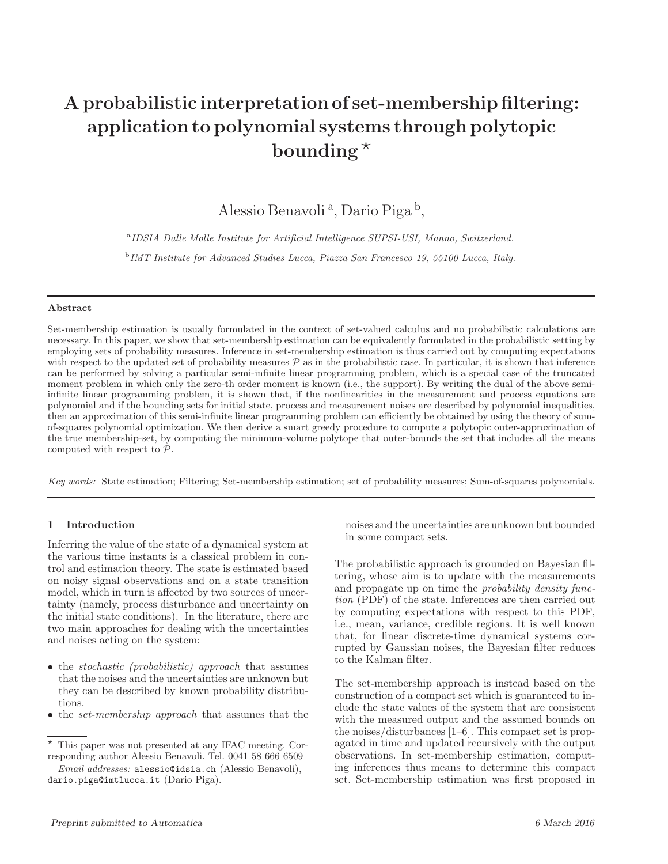# A probabilistic interpretation of set-membership filtering: application to polynomial systems through polytopic bounding  $\star$

Alessio Benavoli<sup>a</sup>, Dario Piga<sup>b</sup>,

a *IDSIA Dalle Molle Institute for Artificial Intelligence SUPSI-USI, Manno, Switzerland.*

b *IMT Institute for Advanced Studies Lucca, Piazza San Francesco 19, 55100 Lucca, Italy.*

#### Abstract

Set-membership estimation is usually formulated in the context of set-valued calculus and no probabilistic calculations are necessary. In this paper, we show that set-membership estimation can be equivalently formulated in the probabilistic setting by employing sets of probability measures. Inference in set-membership estimation is thus carried out by computing expectations with respect to the updated set of probability measures  $\mathcal P$  as in the probabilistic case. In particular, it is shown that inference can be performed by solving a particular semi-infinite linear programming problem, which is a special case of the truncated moment problem in which only the zero-th order moment is known (i.e., the support). By writing the dual of the above semiinfinite linear programming problem, it is shown that, if the nonlinearities in the measurement and process equations are polynomial and if the bounding sets for initial state, process and measurement noises are described by polynomial inequalities, then an approximation of this semi-infinite linear programming problem can efficiently be obtained by using the theory of sumof-squares polynomial optimization. We then derive a smart greedy procedure to compute a polytopic outer-approximation of the true membership-set, by computing the minimum-volume polytope that outer-bounds the set that includes all the means computed with respect to P.

*Key words:* State estimation; Filtering; Set-membership estimation; set of probability measures; Sum-of-squares polynomials.

# 1 Introduction

Inferring the value of the state of a dynamical system at the various time instants is a classical problem in control and estimation theory. The state is estimated based on noisy signal observations and on a state transition model, which in turn is affected by two sources of uncertainty (namely, process disturbance and uncertainty on the initial state conditions). In the literature, there are two main approaches for dealing with the uncertainties and noises acting on the system:

- the *stochastic (probabilistic)* approach that assumes that the noises and the uncertainties are unknown but they can be described by known probability distributions.
- the *set-membership approach* that assumes that the

This paper was not presented at any IFAC meeting. Corresponding author Alessio Benavoli. Tel. 0041 58 666 6509

*Email addresses:* alessio@idsia.ch (Alessio Benavoli), dario.piga@imtlucca.it (Dario Piga).

noises and the uncertainties are unknown but bounded in some compact sets.

The probabilistic approach is grounded on Bayesian filtering, whose aim is to update with the measurements and propagate up on time the probability density function (PDF) of the state. Inferences are then carried out by computing expectations with respect to this PDF, i.e., mean, variance, credible regions. It is well known that, for linear discrete-time dynamical systems corrupted by Gaussian noises, the Bayesian filter reduces to the Kalman filter.

The set-membership approach is instead based on the construction of a compact set which is guaranteed to include the state values of the system that are consistent with the measured output and the assumed bounds on the noises/disturbances [1–6]. This compact set is propagated in time and updated recursively with the output observations. In set-membership estimation, computing inferences thus means to determine this compact set. Set-membership estimation was first proposed in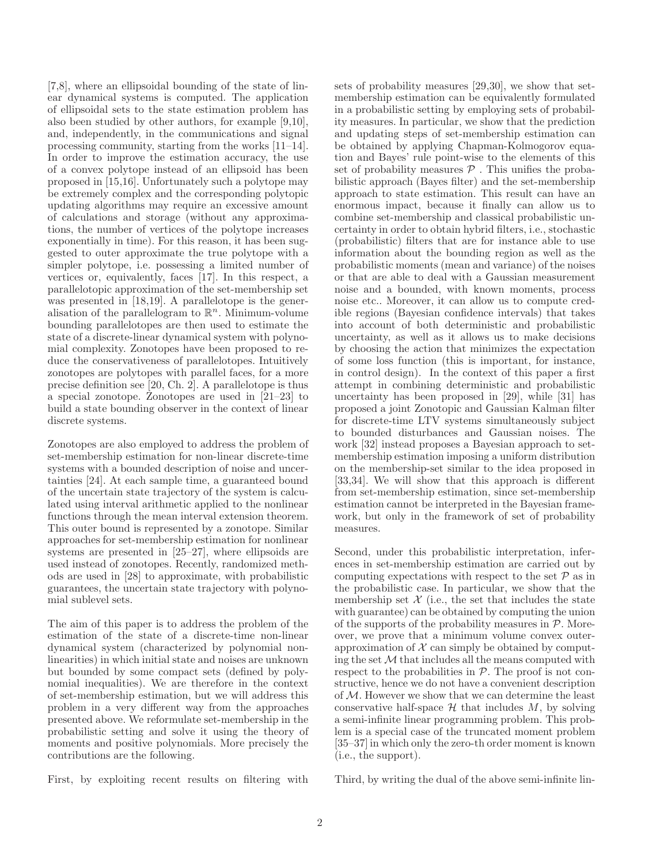[7,8], where an ellipsoidal bounding of the state of linear dynamical systems is computed. The application of ellipsoidal sets to the state estimation problem has also been studied by other authors, for example [9,10], and, independently, in the communications and signal processing community, starting from the works [11–14]. In order to improve the estimation accuracy, the use of a convex polytope instead of an ellipsoid has been proposed in [15,16]. Unfortunately such a polytope may be extremely complex and the corresponding polytopic updating algorithms may require an excessive amount of calculations and storage (without any approximations, the number of vertices of the polytope increases exponentially in time). For this reason, it has been suggested to outer approximate the true polytope with a simpler polytope, i.e. possessing a limited number of vertices or, equivalently, faces [17]. In this respect, a parallelotopic approximation of the set-membership set was presented in [18,19]. A parallelotope is the generalisation of the parallelogram to  $\mathbb{R}^n$ . Minimum-volume bounding parallelotopes are then used to estimate the state of a discrete-linear dynamical system with polynomial complexity. Zonotopes have been proposed to reduce the conservativeness of parallelotopes. Intuitively zonotopes are polytopes with parallel faces, for a more precise definition see [20, Ch. 2]. A parallelotope is thus a special zonotope. Zonotopes are used in [21–23] to build a state bounding observer in the context of linear discrete systems.

Zonotopes are also employed to address the problem of set-membership estimation for non-linear discrete-time systems with a bounded description of noise and uncertainties [24]. At each sample time, a guaranteed bound of the uncertain state trajectory of the system is calculated using interval arithmetic applied to the nonlinear functions through the mean interval extension theorem. This outer bound is represented by a zonotope. Similar approaches for set-membership estimation for nonlinear systems are presented in [25–27], where ellipsoids are used instead of zonotopes. Recently, randomized methods are used in [28] to approximate, with probabilistic guarantees, the uncertain state trajectory with polynomial sublevel sets.

The aim of this paper is to address the problem of the estimation of the state of a discrete-time non-linear dynamical system (characterized by polynomial nonlinearities) in which initial state and noises are unknown but bounded by some compact sets (defined by polynomial inequalities). We are therefore in the context of set-membership estimation, but we will address this problem in a very different way from the approaches presented above. We reformulate set-membership in the probabilistic setting and solve it using the theory of moments and positive polynomials. More precisely the contributions are the following.

First, by exploiting recent results on filtering with

sets of probability measures [29,30], we show that setmembership estimation can be equivalently formulated in a probabilistic setting by employing sets of probability measures. In particular, we show that the prediction and updating steps of set-membership estimation can be obtained by applying Chapman-Kolmogorov equation and Bayes' rule point-wise to the elements of this set of probability measures  $P$ . This unifies the probabilistic approach (Bayes filter) and the set-membership approach to state estimation. This result can have an enormous impact, because it finally can allow us to combine set-membership and classical probabilistic uncertainty in order to obtain hybrid filters, i.e., stochastic (probabilistic) filters that are for instance able to use information about the bounding region as well as the probabilistic moments (mean and variance) of the noises or that are able to deal with a Gaussian measurement noise and a bounded, with known moments, process noise etc.. Moreover, it can allow us to compute credible regions (Bayesian confidence intervals) that takes into account of both deterministic and probabilistic uncertainty, as well as it allows us to make decisions by choosing the action that minimizes the expectation of some loss function (this is important, for instance, in control design). In the context of this paper a first attempt in combining deterministic and probabilistic uncertainty has been proposed in [29], while [31] has proposed a joint Zonotopic and Gaussian Kalman filter for discrete-time LTV systems simultaneously subject to bounded disturbances and Gaussian noises. The work [32] instead proposes a Bayesian approach to setmembership estimation imposing a uniform distribution on the membership-set similar to the idea proposed in [33,34]. We will show that this approach is different from set-membership estimation, since set-membership estimation cannot be interpreted in the Bayesian framework, but only in the framework of set of probability measures.

Second, under this probabilistic interpretation, inferences in set-membership estimation are carried out by computing expectations with respect to the set  $P$  as in the probabilistic case. In particular, we show that the membership set  $X$  (i.e., the set that includes the state with guarantee) can be obtained by computing the union of the supports of the probability measures in  $P$ . Moreover, we prove that a minimum volume convex outerapproximation of  $\mathcal X$  can simply be obtained by computing the set  $M$  that includes all the means computed with respect to the probabilities in  $P$ . The proof is not constructive, hence we do not have a convenient description of M. However we show that we can determine the least conservative half-space  $H$  that includes  $M$ , by solving a semi-infinite linear programming problem. This problem is a special case of the truncated moment problem [35–37] in which only the zero-th order moment is known (i.e., the support).

Third, by writing the dual of the above semi-infinite lin-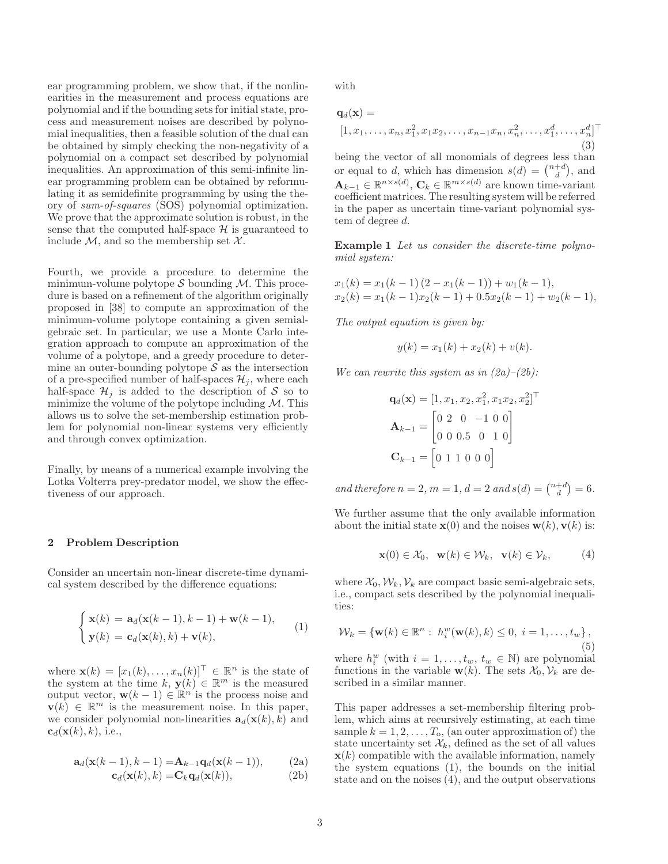ear programming problem, we show that, if the nonlinearities in the measurement and process equations are polynomial and if the bounding sets for initial state, process and measurement noises are described by polynomial inequalities, then a feasible solution of the dual can be obtained by simply checking the non-negativity of a polynomial on a compact set described by polynomial inequalities. An approximation of this semi-infinite linear programming problem can be obtained by reformulating it as semidefinite programming by using the theory of sum-of-squares (SOS) polynomial optimization. We prove that the approximate solution is robust, in the sense that the computed half-space  $\mathcal H$  is guaranteed to include  $\mathcal{M}$ , and so the membership set  $\mathcal{X}$ .

Fourth, we provide a procedure to determine the minimum-volume polytope  $\mathcal S$  bounding  $\mathcal M$ . This procedure is based on a refinement of the algorithm originally proposed in [38] to compute an approximation of the minimum-volume polytope containing a given semialgebraic set. In particular, we use a Monte Carlo integration approach to compute an approximation of the volume of a polytope, and a greedy procedure to determine an outer-bounding polytope  $S$  as the intersection of a pre-specified number of half-spaces  $\mathcal{H}_j$ , where each half-space  $\mathcal{H}_j$  is added to the description of S so to minimize the volume of the polytope including  $M$ . This allows us to solve the set-membership estimation problem for polynomial non-linear systems very efficiently and through convex optimization.

Finally, by means of a numerical example involving the Lotka Volterra prey-predator model, we show the effectiveness of our approach.

#### 2 Problem Description

Consider an uncertain non-linear discrete-time dynamical system described by the difference equations:

$$
\begin{cases}\n\mathbf{x}(k) = \mathbf{a}_d(\mathbf{x}(k-1), k-1) + \mathbf{w}(k-1), \\
\mathbf{y}(k) = \mathbf{c}_d(\mathbf{x}(k), k) + \mathbf{v}(k),\n\end{cases}
$$
\n(1)

where  $\mathbf{x}(k) = [x_1(k), \dots, x_n(k)]^\top \in \mathbb{R}^n$  is the state of the system at the time k,  $\mathbf{y}(k) \in \mathbb{R}^m$  is the measured output vector,  $\mathbf{w}(k-1) \in \mathbb{R}^n$  is the process noise and  $\mathbf{v}(k) \in \mathbb{R}^m$  is the measurement noise. In this paper, we consider polynomial non-linearities  $\mathbf{a}_d(\mathbf{x}(k), k)$  and  $c_d(\mathbf{x}(k), k)$ , i.e.,

$$
\mathbf{a}_d(\mathbf{x}(k-1), k-1) = \mathbf{A}_{k-1}\mathbf{q}_d(\mathbf{x}(k-1)), \qquad (2a)
$$

$$
\mathbf{c}_d(\mathbf{x}(k),k) = \mathbf{C}_k \mathbf{q}_d(\mathbf{x}(k)),\tag{2b}
$$

with

$$
\mathbf{q}_d(\mathbf{x}) = [1, x_1, \dots, x_n, x_1^2, x_1 x_2, \dots, x_{n-1} x_n, x_n^2, \dots, x_1^d, \dots, x_n^d]^\top
$$
\n(3)

being the vector of all monomials of degrees less than or equal to d, which has dimension  $s(d) = \binom{n+d}{d}$ , and  $\mathbf{A}_{k-1} \in \mathbb{R}^{n \times s(d)}$ ,  $\mathbf{C}_k \in \mathbb{R}^{m \times s(d)}$  are known time-variant coefficient matrices. The resulting system will be referred in the paper as uncertain time-variant polynomial system of degree d.

Example 1 Let us consider the discrete-time polynomial system:

$$
x_1(k) = x_1(k-1)(2-x_1(k-1)) + w_1(k-1),
$$
  
\n
$$
x_2(k) = x_1(k-1)x_2(k-1) + 0.5x_2(k-1) + w_2(k-1),
$$

The output equation is given by:

$$
y(k) = x_1(k) + x_2(k) + v(k).
$$

We can rewrite this system as in  $(2a)-(2b)$ :

$$
\mathbf{q}_d(\mathbf{x}) = [1, x_1, x_2, x_1^2, x_1x_2, x_2^2]^\top
$$

$$
\mathbf{A}_{k-1} = \begin{bmatrix} 0 & 2 & 0 & -1 & 0 & 0 \\ 0 & 0 & 0.5 & 0 & 1 & 0 \end{bmatrix}
$$

$$
\mathbf{C}_{k-1} = \begin{bmatrix} 0 & 1 & 1 & 0 & 0 & 0 \end{bmatrix}
$$

and therefore  $n = 2, m = 1, d = 2$  and  $s(d) = {n+d \choose d} = 6$ .

We further assume that the only available information about the initial state  $\mathbf{x}(0)$  and the noises  $\mathbf{w}(k)$ ,  $\mathbf{v}(k)$  is:

$$
\mathbf{x}(0) \in \mathcal{X}_0, \ \mathbf{w}(k) \in \mathcal{W}_k, \ \mathbf{v}(k) \in \mathcal{V}_k,\tag{4}
$$

where  $\mathcal{X}_0, \mathcal{W}_k, \mathcal{V}_k$  are compact basic semi-algebraic sets, i.e., compact sets described by the polynomial inequalities:

$$
\mathcal{W}_k = \{ \mathbf{w}(k) \in \mathbb{R}^n : h_i^w(\mathbf{w}(k), k) \le 0, \ i = 1, ..., t_w \},
$$
\nwhere  $h_i^w$  (with  $i = 1, ..., t_w, t_w \in \mathbb{N}$ ) are polynomial functions in the variable  $\mathbf{w}(k)$ . The sets  $\mathcal{X}_0, \mathcal{V}_k$  are described in a similar manner.

This paper addresses a set-membership filtering problem, which aims at recursively estimating, at each time sample  $k = 1, 2, \ldots, T_0$ , (an outer approximation of) the state uncertainty set  $\mathcal{X}_k$ , defined as the set of all values  $\mathbf{x}(k)$  compatible with the available information, namely the system equations (1), the bounds on the initial state and on the noises (4), and the output observations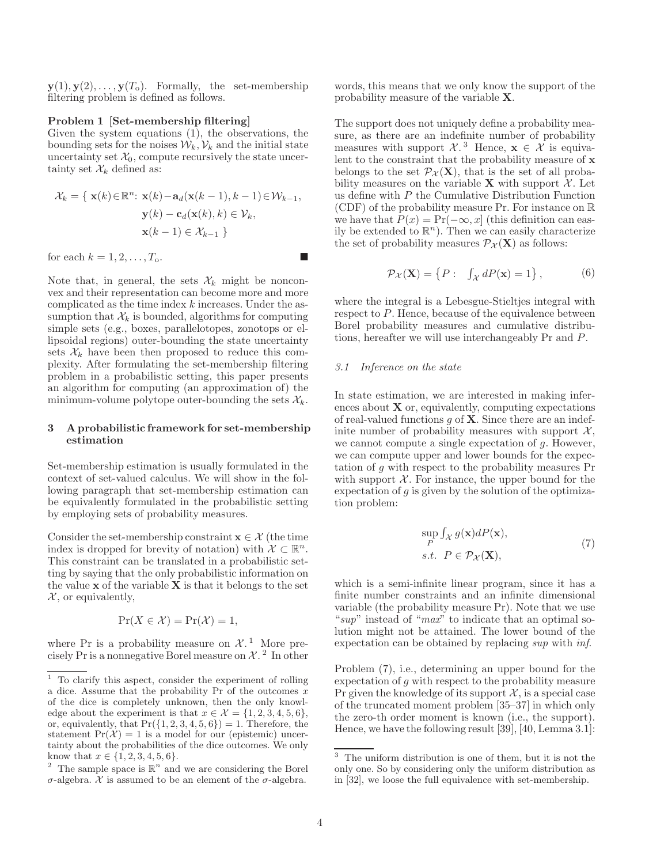$y(1), y(2), \ldots, y(T_0)$ . Formally, the set-membership filtering problem is defined as follows.

# Problem 1 [Set-membership filtering]

Given the system equations (1), the observations, the bounding sets for the noises  $\mathcal{W}_k, \mathcal{V}_k$  and the initial state uncertainty set  $\mathcal{X}_0$ , compute recursively the state uncertainty set  $\mathcal{X}_k$  defined as:

$$
\mathcal{X}_k = \{ \mathbf{x}(k) \in \mathbb{R}^n : \mathbf{x}(k) - \mathbf{a}_d(\mathbf{x}(k-1), k-1) \in \mathcal{W}_{k-1},
$$

$$
\mathbf{y}(k) - \mathbf{c}_d(\mathbf{x}(k), k) \in \mathcal{V}_k,
$$

$$
\mathbf{x}(k-1) \in \mathcal{X}_{k-1} \}
$$

for each  $k = 1, 2, \ldots, T_{\text{o}}$ .

Note that, in general, the sets  $\mathcal{X}_k$  might be nonconvex and their representation can become more and more complicated as the time index k increases. Under the assumption that  $\mathcal{X}_k$  is bounded, algorithms for computing simple sets (e.g., boxes, parallelotopes, zonotops or ellipsoidal regions) outer-bounding the state uncertainty sets  $\mathcal{X}_k$  have been then proposed to reduce this complexity. After formulating the set-membership filtering problem in a probabilistic setting, this paper presents an algorithm for computing (an approximation of) the minimum-volume polytope outer-bounding the sets  $\mathcal{X}_k$ .

## 3 A probabilistic framework for set-membership estimation

Set-membership estimation is usually formulated in the context of set-valued calculus. We will show in the following paragraph that set-membership estimation can be equivalently formulated in the probabilistic setting by employing sets of probability measures.

Consider the set-membership constraint  $\mathbf{x} \in \mathcal{X}$  (the time index is dropped for brevity of notation) with  $\mathcal{X} \subset \mathbb{R}^n$ . This constraint can be translated in a probabilistic setting by saying that the only probabilistic information on the value  $x$  of the variable  $X$  is that it belongs to the set  $X$ , or equivalently,

$$
\Pr(X \in \mathcal{X}) = \Pr(\mathcal{X}) = 1,
$$

where Pr is a probability measure on  $\mathcal{X}$ .<sup>1</sup> More precisely Pr is a nonnegative Borel measure on  $\mathcal{X}$ .<sup>2</sup> In other words, this means that we only know the support of the probability measure of the variable X.

The support does not uniquely define a probability measure, as there are an indefinite number of probability measures with support  $\mathcal{X}$ .<sup>3</sup> Hence,  $\mathbf{x} \in \mathcal{X}$  is equivalent to the constraint that the probability measure of x belongs to the set  $\mathcal{P}_{\mathcal{X}}(\mathbf{X})$ , that is the set of all probability measures on the variable **X** with support  $\mathcal{X}$ . Let us define with P the Cumulative Distribution Function  $(CDF)$  of the probability measure Pr. For instance on  $\mathbb R$ we have that  $P(x) = Pr(-\infty, x]$  (this definition can easily be extended to  $\mathbb{R}^n$ ). Then we can easily characterize the set of probability measures  $\mathcal{P}_{\mathcal{X}}(\mathbf{X})$  as follows:

$$
\mathcal{P}_{\mathcal{X}}(\mathbf{X}) = \left\{ P : \int_{\mathcal{X}} dP(\mathbf{x}) = 1 \right\},\tag{6}
$$

where the integral is a Lebesgue-Stieltjes integral with respect to P. Hence, because of the equivalence between Borel probability measures and cumulative distributions, hereafter we will use interchangeably Pr and P.

#### 3.1 Inference on the state

In state estimation, we are interested in making inferences about  $X$  or, equivalently, computing expectations of real-valued functions  $g$  of  $X$ . Since there are an indefinite number of probability measures with support  $\mathcal{X}$ , we cannot compute a single expectation of g. However, we can compute upper and lower bounds for the expectation of  $g$  with respect to the probability measures  $Pr$ with support  $X$ . For instance, the upper bound for the expectation of  $g$  is given by the solution of the optimization problem:

$$
\sup_{P} \int_{\mathcal{X}} g(\mathbf{x}) dP(\mathbf{x}),
$$
  
s.t.  $P \in \mathcal{P}_{\mathcal{X}}(\mathbf{X}),$  (7)

which is a semi-infinite linear program, since it has a finite number constraints and an infinite dimensional variable (the probability measure Pr). Note that we use "sup" instead of "max" to indicate that an optimal solution might not be attained. The lower bound of the expectation can be obtained by replacing sup with inf.

Problem (7), i.e., determining an upper bound for the expectation of g with respect to the probability measure Pr given the knowledge of its support  $\mathcal{X}$ , is a special case of the truncated moment problem [35–37] in which only the zero-th order moment is known (i.e., the support). Hence, we have the following result [39], [40, Lemma 3.1]:

 $1$  To clarify this aspect, consider the experiment of rolling a dice. Assume that the probability  $Pr$  of the outcomes  $x$ of the dice is completely unknown, then the only knowledge about the experiment is that  $x \in \mathcal{X} = \{1, 2, 3, 4, 5, 6\},\$ or, equivalently, that  $Pr({1, 2, 3, 4, 5, 6}) = 1$ . Therefore, the statement  $Pr(X) = 1$  is a model for our (epistemic) uncertainty about the probabilities of the dice outcomes. We only know that  $x \in \{1, 2, 3, 4, 5, 6\}$ .<br><sup>2</sup> The sample space is  $\mathbb{P}^n$  and

<sup>&</sup>lt;sup>2</sup> The sample space is  $\mathbb{R}^n$  and we are considering the Borel σ-algebra. X is assumed to be an element of the σ-algebra.

<sup>3</sup> The uniform distribution is one of them, but it is not the only one. So by considering only the uniform distribution as in [32], we loose the full equivalence with set-membership.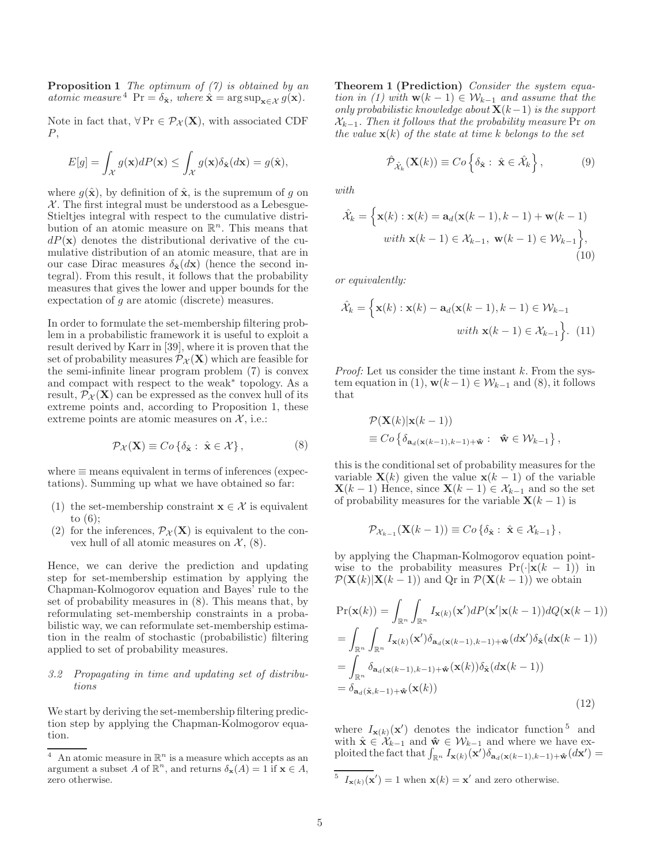**Proposition 1** The optimum of  $(7)$  is obtained by an atomic measure <sup>4</sup> Pr =  $\delta_{\hat{\mathbf{x}}}$ , where  $\hat{\mathbf{x}}$  =  $\arg \sup_{\mathbf{x} \in \mathcal{X}} g(\mathbf{x})$ .

Note in fact that,  $\forall Pr \in \mathcal{P}_{\mathcal{X}}(X)$ , with associated CDF  $P$ ,

$$
E[g] = \int_{\mathcal{X}} g(\mathbf{x}) dP(\mathbf{x}) \le \int_{\mathcal{X}} g(\mathbf{x}) \delta_{\hat{\mathbf{x}}}(d\mathbf{x}) = g(\hat{\mathbf{x}}),
$$

where  $g(\hat{\mathbf{x}})$ , by definition of  $\hat{\mathbf{x}}$ , is the supremum of g on  $X$ . The first integral must be understood as a Lebesgue-Stieltjes integral with respect to the cumulative distribution of an atomic measure on  $\mathbb{R}^n$ . This means that  $dP(x)$  denotes the distributional derivative of the cumulative distribution of an atomic measure, that are in our case Dirac measures  $\delta_{\hat{\mathbf{x}}}(d\mathbf{x})$  (hence the second integral). From this result, it follows that the probability measures that gives the lower and upper bounds for the expectation of g are atomic (discrete) measures.

In order to formulate the set-membership filtering problem in a probabilistic framework it is useful to exploit a result derived by Karr in [39], where it is proven that the set of probability measures  $\mathcal{P}_{\mathcal{X}}(\mathbf{X})$  which are feasible for the semi-infinite linear program problem (7) is convex and compact with respect to the weak<sup>∗</sup> topology. As a result,  $\mathcal{P}_{\mathcal{X}}(\mathbf{X})$  can be expressed as the convex hull of its extreme points and, according to Proposition 1, these extreme points are atomic measures on  $\mathcal{X}$ , i.e.:

$$
\mathcal{P}_{\mathcal{X}}(\mathbf{X}) \equiv Co\left\{\delta_{\hat{\mathbf{x}}} : \ \hat{\mathbf{x}} \in \mathcal{X}\right\},\tag{8}
$$

where  $\equiv$  means equivalent in terms of inferences (expectations). Summing up what we have obtained so far:

- (1) the set-membership constraint  $\mathbf{x} \in \mathcal{X}$  is equivalent to (6);
- (2) for the inferences,  $\mathcal{P}_{\mathcal{X}}(\mathbf{X})$  is equivalent to the convex hull of all atomic measures on  $\mathcal{X}, (8)$ .

Hence, we can derive the prediction and updating step for set-membership estimation by applying the Chapman-Kolmogorov equation and Bayes' rule to the set of probability measures in (8). This means that, by reformulating set-membership constraints in a probabilistic way, we can reformulate set-membership estimation in the realm of stochastic (probabilistic) filtering applied to set of probability measures.

# 3.2 Propagating in time and updating set of distributions

We start by deriving the set-membership filtering prediction step by applying the Chapman-Kolmogorov equation.

Theorem 1 (Prediction) Consider the system equation in (1) with  $\mathbf{w}(k-1) \in \mathcal{W}_{k-1}$  and assume that the only probabilistic knowledge about  $\mathbf{X}(k-1)$  is the support  $\mathcal{X}_{k-1}$ . Then it follows that the probability measure Pr on the value  $\mathbf{x}(k)$  of the state at time k belongs to the set

$$
\hat{\mathcal{P}}_{\hat{\mathcal{X}}_k}(\mathbf{X}(k)) \equiv Co\left\{\delta_{\hat{\mathbf{x}}} : \ \hat{\mathbf{x}} \in \hat{\mathcal{X}}_k\right\},\tag{9}
$$

with

$$
\hat{\mathcal{X}}_k = \left\{ \mathbf{x}(k) : \mathbf{x}(k) = \mathbf{a}_d(\mathbf{x}(k-1), k-1) + \mathbf{w}(k-1)
$$
  
with  $\mathbf{x}(k-1) \in \mathcal{X}_{k-1}$ ,  $\mathbf{w}(k-1) \in \mathcal{W}_{k-1} \right\},$   
(10)

or equivalently:

$$
\hat{\mathcal{X}}_k = \left\{ \mathbf{x}(k) : \mathbf{x}(k) - \mathbf{a}_d(\mathbf{x}(k-1), k-1) \in \mathcal{W}_{k-1} \right\}
$$
  
with  $\mathbf{x}(k-1) \in \mathcal{X}_{k-1}$ . (11)

*Proof:* Let us consider the time instant  $k$ . From the system equation in (1),  $\mathbf{w}(k-1) \in \mathcal{W}_{k-1}$  and (8), it follows that

$$
\mathcal{P}(\mathbf{X}(k)|\mathbf{x}(k-1))
$$
  
\n
$$
\equiv Co\left\{\delta_{\mathbf{a}_d(\mathbf{x}(k-1),k-1)+\hat{\mathbf{w}}} : \hat{\mathbf{w}} \in \mathcal{W}_{k-1}\right\},\
$$

this is the conditional set of probability measures for the variable  $\mathbf{X}(k)$  given the value  $\mathbf{x}(k-1)$  of the variable  $\mathbf{X}(k-1)$  Hence, since  $\mathbf{X}(k-1) \in \mathcal{X}_{k-1}$  and so the set of probability measures for the variable  $\mathbf{X}(k-1)$  is

$$
\mathcal{P}_{\mathcal{X}_{k-1}}(\mathbf{X}(k-1)) \equiv Co\left\{\delta_{\hat{\mathbf{x}}} : \ \hat{\mathbf{x}} \in \mathcal{X}_{k-1}\right\},\
$$

by applying the Chapman-Kolmogorov equation pointwise to the probability measures  $Pr(\cdot|\mathbf{x}(k-1))$  in  $\mathcal{P}(\mathbf{X}(k)|\mathbf{X}(k-1))$  and Qr in  $\mathcal{P}(\mathbf{X}(k-1))$  we obtain

$$
\Pr(\mathbf{x}(k)) = \int_{\mathbb{R}^n} \int_{\mathbb{R}^n} I_{\mathbf{x}(k)}(\mathbf{x}') dP(\mathbf{x}'|\mathbf{x}(k-1)) dQ(\mathbf{x}(k-1))
$$
  
\n
$$
= \int_{\mathbb{R}^n} \int_{\mathbb{R}^n} I_{\mathbf{x}(k)}(\mathbf{x}') \delta_{\mathbf{a}_d(\mathbf{x}(k-1),k-1)+\hat{\mathbf{w}}}(d\mathbf{x}') \delta_{\hat{\mathbf{x}}}(d\mathbf{x}(k-1))
$$
  
\n
$$
= \int_{\mathbb{R}^n} \delta_{\mathbf{a}_d(\mathbf{x}(k-1),k-1)+\hat{\mathbf{w}}}(\mathbf{x}(k)) \delta_{\hat{\mathbf{x}}}(d\mathbf{x}(k-1))
$$
  
\n
$$
= \delta_{\mathbf{a}_d(\hat{\mathbf{x}},k-1)+\hat{\mathbf{w}}}(\mathbf{x}(k))
$$
\n(12)

where  $I_{\mathbf{x}(k)}(\mathbf{x}')$  denotes the indicator function<sup>5</sup> and with  $\hat{\mathbf{x}} \in \mathcal{X}_{k-1}$  and  $\hat{\mathbf{w}} \in \mathcal{W}_{k-1}$  and where we have exploited the fact that  $\int_{\mathbb{R}^n} I_{\mathbf{x}(k)}(\mathbf{x}') \delta_{\mathbf{a}_d(\mathbf{x}(k-1),k-1)+\hat{\mathbf{w}}}(d\mathbf{x}')$ 

<sup>&</sup>lt;sup>4</sup> An atomic measure in  $\mathbb{R}^n$  is a measure which accepts as an argument a subset A of  $\mathbb{R}^n$ , and returns  $\delta_{\mathbf{x}}(A) = 1$  if  $\mathbf{x} \in A$ , zero otherwise.

 $\frac{5}{1}$   $I_{\mathbf{x}(k)}(\mathbf{x}') = 1$  when  $\mathbf{x}(k) = \mathbf{x}'$  and zero otherwise.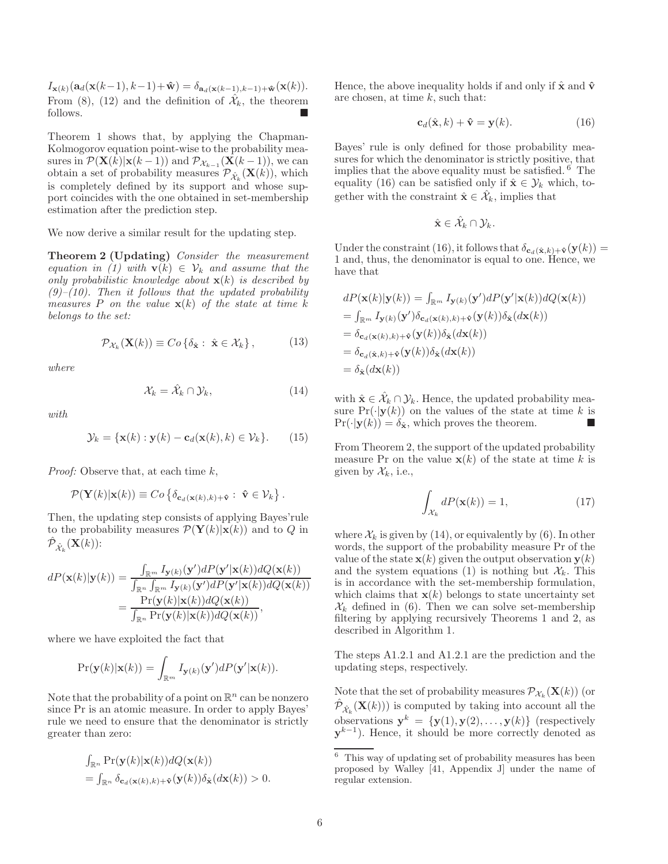$I_{\mathbf{x}(k)}(\mathbf{a}_d(\mathbf{x}(k-1), k-1)+\hat{\mathbf{w}})=\delta_{\mathbf{a}_d(\mathbf{x}(k-1), k-1)+\hat{\mathbf{w}}}(\mathbf{x}(k)).$ From (8), (12) and the definition of  $\hat{\mathcal{X}}_k$ , the theorem follows.

Theorem 1 shows that, by applying the Chapman-Kolmogorov equation point-wise to the probability measures in  $\mathcal{P}(\mathbf{X}(k)|\mathbf{x}(k-1))$  and  $\mathcal{P}_{\mathcal{X}_{k-1}}(\mathbf{X}(k-1))$ , we can obtain a set of probability measures  $\mathcal{P}_{\hat{\mathcal{X}}_k}(\mathbf{X}(k))$ , which is completely defined by its support and whose support coincides with the one obtained in set-membership estimation after the prediction step.

We now derive a similar result for the updating step.

Theorem 2 (Updating) Consider the measurement equation in (1) with  $\mathbf{v}(k) \in \mathcal{V}_k$  and assume that the only probabilistic knowledge about  $\mathbf{x}(k)$  is described by  $(9)$ – $(10)$ . Then it follows that the updated probability measures P on the value  $\mathbf{x}(k)$  of the state at time  $k$ belongs to the set:

$$
\mathcal{P}_{\mathcal{X}_k}(\mathbf{X}(k)) \equiv Co\{\delta_{\hat{\mathbf{x}}} : \ \hat{\mathbf{x}} \in \mathcal{X}_k\},\tag{13}
$$

where

$$
\mathcal{X}_k = \hat{\mathcal{X}}_k \cap \mathcal{Y}_k,\tag{14}
$$

with

$$
\mathcal{Y}_k = \{ \mathbf{x}(k) : \mathbf{y}(k) - \mathbf{c}_d(\mathbf{x}(k), k) \in \mathcal{V}_k \}. \qquad (15)
$$

Proof: Observe that, at each time k,

$$
\mathcal{P}(\mathbf{Y}(k)|\mathbf{x}(k)) \equiv Co\left\{\delta_{\mathbf{c}_d(\mathbf{x}(k),k)+\hat{\mathbf{v}}} : \hat{\mathbf{v}} \in \mathcal{V}_k\right\}.
$$

Then, the updating step consists of applying Bayes'rule to the probability measures  $\mathcal{P}(\mathbf{Y}(k)|\mathbf{x}(k))$  and to Q in  $\hat{\mathcal{P}}_{\hat{\mathcal{X}}_k}(\mathbf{X}(k))$ :

$$
dP(\mathbf{x}(k)|\mathbf{y}(k)) = \frac{\int_{\mathbb{R}^m} I_{\mathbf{y}(k)}(\mathbf{y}') dP(\mathbf{y}'|\mathbf{x}(k)) dQ(\mathbf{x}(k))}{\int_{\mathbb{R}^n} \int_{\mathbb{R}^m} I_{\mathbf{y}(k)}(\mathbf{y}') dP(\mathbf{y}'|\mathbf{x}(k)) dQ(\mathbf{x}(k))}
$$
  
= 
$$
\frac{\Pr(\mathbf{y}(k)|\mathbf{x}(k)) dQ(\mathbf{x}(k))}{\int_{\mathbb{R}^n} \Pr(\mathbf{y}(k)|\mathbf{x}(k)) dQ(\mathbf{x}(k))},
$$

where we have exploited the fact that

$$
\Pr(\mathbf{y}(k)|\mathbf{x}(k)) = \int_{\mathbb{R}^m} I_{\mathbf{y}(k)}(\mathbf{y}') dP(\mathbf{y}'|\mathbf{x}(k)).
$$

Note that the probability of a point on  $\mathbb{R}^n$  can be nonzero since Pr is an atomic measure. In order to apply Bayes' rule we need to ensure that the denominator is strictly greater than zero:

$$
\int_{\mathbb{R}^n} \Pr(\mathbf{y}(k)|\mathbf{x}(k))dQ(\mathbf{x}(k))
$$
  
= 
$$
\int_{\mathbb{R}^n} \delta_{\mathbf{c}_d(\mathbf{x}(k),k)+\hat{\mathbf{v}}}(\mathbf{y}(k))\delta_{\hat{\mathbf{x}}}(d\mathbf{x}(k)) > 0.
$$

Hence, the above inequality holds if and only if  $\hat{\mathbf{x}}$  and  $\hat{\mathbf{v}}$ are chosen, at time  $k$ , such that:

$$
\mathbf{c}_d(\hat{\mathbf{x}},k) + \hat{\mathbf{v}} = \mathbf{y}(k). \tag{16}
$$

Bayes' rule is only defined for those probability measures for which the denominator is strictly positive, that implies that the above equality must be satisfied. <sup>6</sup> The equality (16) can be satisfied only if  $\hat{\mathbf{x}} \in \mathcal{Y}_k$  which, together with the constraint  $\hat{\mathbf{x}} \in \hat{\mathcal{X}}_k$ , implies that

$$
\hat{\mathbf{x}}\in\hat{\mathcal{X}}_k\cap\mathcal{Y}_k.
$$

Under the constraint (16), it follows that  $\delta_{\mathbf{c}_d(\hat{\mathbf{x}},k)+\hat{\mathbf{v}}}(\mathbf{y}(k)) =$ 1 and, thus, the denominator is equal to one. Hence, we have that

$$
dP(\mathbf{x}(k)|\mathbf{y}(k)) = \int_{\mathbb{R}^m} I_{\mathbf{y}(k)}(\mathbf{y}')dP(\mathbf{y}'|\mathbf{x}(k))dQ(\mathbf{x}(k))
$$
  
\n
$$
= \int_{\mathbb{R}^m} I_{\mathbf{y}(k)}(\mathbf{y}')\delta_{\mathbf{c}_d(\mathbf{x}(k),k)+\hat{\mathbf{v}}}(\mathbf{y}(k))\delta_{\hat{\mathbf{x}}}(d\mathbf{x}(k))
$$
  
\n
$$
= \delta_{\mathbf{c}_d(\mathbf{x}(k),k)+\hat{\mathbf{v}}}(\mathbf{y}(k))\delta_{\hat{\mathbf{x}}}(d\mathbf{x}(k))
$$
  
\n
$$
= \delta_{\mathbf{c}_d(\hat{\mathbf{x}},k)+\hat{\mathbf{v}}}(\mathbf{y}(k))\delta_{\hat{\mathbf{x}}}(d\mathbf{x}(k))
$$
  
\n
$$
= \delta_{\hat{\mathbf{x}}}(d\mathbf{x}(k))
$$

with  $\hat{\mathbf{x}} \in \hat{\mathcal{X}}_k \cap \mathcal{Y}_k$ . Hence, the updated probability measure  $Pr(\cdot|\mathbf{y}(k))$  on the values of the state at time k is  $Pr(\cdot|\mathbf{y}(k)) = \delta_{\hat{\mathbf{x}}}$ , which proves the theorem.

From Theorem 2, the support of the updated probability measure Pr on the value  $\mathbf{x}(k)$  of the state at time k is given by  $\mathcal{X}_k$ , i.e.,

$$
\int_{\mathcal{X}_k} dP(\mathbf{x}(k)) = 1,\tag{17}
$$

where  $\mathcal{X}_k$  is given by (14), or equivalently by (6). In other words, the support of the probability measure Pr of the value of the state  $\mathbf{x}(k)$  given the output observation  $\mathbf{y}(k)$ and the system equations (1) is nothing but  $\mathcal{X}_k$ . This is in accordance with the set-membership formulation, which claims that  $\mathbf{x}(k)$  belongs to state uncertainty set  $\mathcal{X}_k$  defined in (6). Then we can solve set-membership filtering by applying recursively Theorems 1 and 2, as described in Algorithm 1.

The steps A1.2.1 and A1.2.1 are the prediction and the updating steps, respectively.

Note that the set of probability measures  $\mathcal{P}_{\mathcal{X}_k}(\mathbf{X}(k))$  (or  $\hat{\mathcal{P}}_{\hat{\mathcal{X}}_k}(\mathbf{X}(k)))$  is computed by taking into account all the observations  $y^k = \{y(1), y(2), \ldots, y(k)\}\;$  (respectively  $y^{k-1}$ ). Hence, it should be more correctly denoted as

<sup>6</sup> This way of updating set of probability measures has been proposed by Walley [41, Appendix J] under the name of regular extension.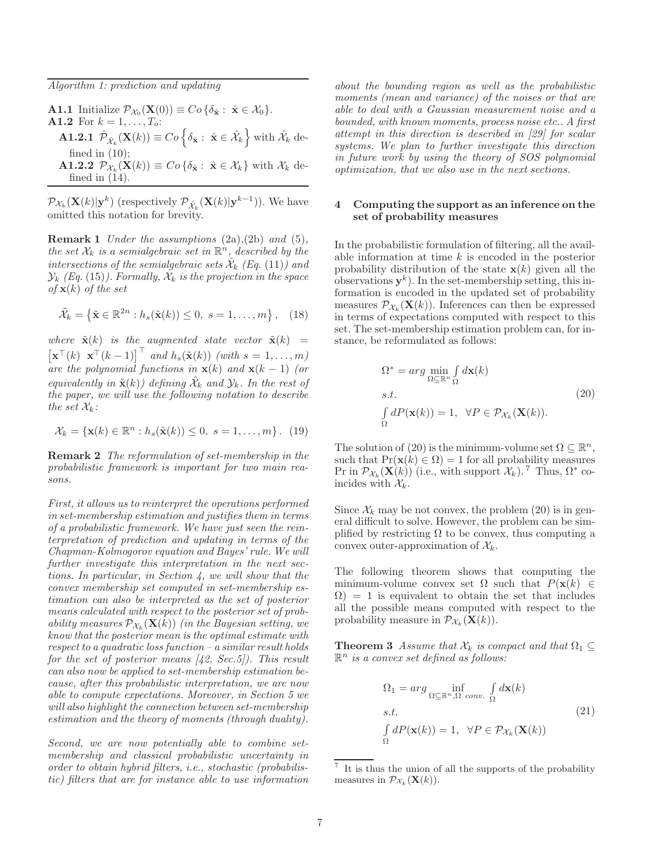Algorithm 1: prediction and updating

**A1.1** Initialize  $\mathcal{P}_{\mathcal{X}_0}(\mathbf{X}(0)) \equiv Co\{\delta_{\hat{\mathbf{x}}} : \ \hat{\mathbf{x}} \in \mathcal{X}_0\}.$ **A1.2** For  $k = 1, ..., T_o$ : **A1.2.1**  $\hat{\mathcal{P}}_{\hat{\mathcal{X}}_k}(\mathbf{X}(k)) \equiv Co\left\{\delta_{\hat{\mathbf{x}}} : \ \hat{\mathbf{x}} \in \hat{\mathcal{X}}_k\right\}$  with  $\hat{\mathcal{X}}_k$  defined in  $(10)$ ; **A1.2.2**  $\mathcal{P}_{\mathcal{X}_k}(\mathbf{X}(k)) \equiv Co\{\delta_{\hat{\mathbf{x}}} : \ \hat{\mathbf{x}} \in \mathcal{X}_k\}$  with  $\mathcal{X}_k$  defined in  $(14)$ .

 $\mathcal{P}_{\mathcal{X}_k}(\mathbf{X}(k)|\mathbf{y}^k)$  (respectively  $\mathcal{P}_{\hat{\mathcal{X}}_k}(\mathbf{X}(k)|\mathbf{y}^{k-1})$ ). We have omitted this notation for brevity.

**Remark 1** Under the assumptions  $(2a)$ , $(2b)$  and  $(5)$ , the set  $\mathcal{X}_k$  is a semialgebraic set in  $\mathbb{R}^n$ , described by the intersections of the semialgebraic sets  $\hat{\mathcal{X}}_k$  (Eq. (11)) and  $\mathcal{Y}_k$  (Eq. (15)). Formally,  $\mathcal{X}_k$  is the projection in the space of  $\mathbf{x}(k)$  of the set

$$
\tilde{\mathcal{X}}_k = \left\{ \tilde{\mathbf{x}} \in \mathbb{R}^{2n} : h_s(\tilde{\mathbf{x}}(k)) \leq 0, \ s = 1, \dots, m \right\}, \tag{18}
$$

where  $\tilde{\mathbf{x}}(k)$  is the augmented state vector  $\tilde{\mathbf{x}}(k)$  =  $\begin{bmatrix} \mathbf{x}^{\top}(k) & \mathbf{x}^{\top}(k-1) \end{bmatrix}^{\top}$  and  $h_s(\tilde{\mathbf{x}}(k))$  (with  $s = 1, \ldots, m$ ) are the polynomial functions in  $\mathbf{x}(k)$  and  $\mathbf{x}(k-1)$  (or equivalently in  $\tilde{\mathbf{x}}(k)$ ) defining  $\hat{\mathcal{X}}_k$  and  $\mathcal{Y}_k$ . In the rest of the paper, we will use the following notation to describe the set  $\mathcal{X}_k$ :

$$
\mathcal{X}_k = \{ \mathbf{x}(k) \in \mathbb{R}^n : h_s(\tilde{\mathbf{x}}(k)) \le 0, \ s = 1, \dots, m \}.
$$
 (19)

Remark 2 The reformulation of set-membership in the probabilistic framework is important for two main reasons.

First, it allows us to reinterpret the operations performed in set-membership estimation and justifies them in terms of a probabilistic framework. We have just seen the reinterpretation of prediction and updating in terms of the Chapman-Kolmogorov equation and Bayes' rule. We will further investigate this interpretation in the next sections. In particular, in Section 4, we will show that the convex membership set computed in set-membership estimation can also be interpreted as the set of posterior means calculated with respect to the posterior set of probability measures  $\mathcal{P}_{\mathcal{X}_k}(\mathbf{X}(k))$  (in the Bayesian setting, we know that the posterior mean is the optimal estimate with respect to a quadratic loss function  $-a$  similar result holds for the set of posterior means  $(42, Sec.5)$ . This result can also now be applied to set-membership estimation because, after this probabilistic interpretation, we are now able to compute expectations. Moreover, in Section 5 we will also highlight the connection between set-membership estimation and the theory of moments (through duality).

Second, we are now potentially able to combine setmembership and classical probabilistic uncertainty in order to obtain hybrid filters, i.e., stochastic (probabilistic) filters that are for instance able to use information about the bounding region as well as the probabilistic moments (mean and variance) of the noises or that are able to deal with a Gaussian measurement noise and a bounded, with known moments, process noise etc.. A first attempt in this direction is described in [29] for scalar systems. We plan to further investigate this direction in future work by using the theory of SOS polynomial optimization, that we also use in the next sections.

# 4 Computing the support as an inference on the set of probability measures

In the probabilistic formulation of filtering, all the available information at time  $k$  is encoded in the posterior probability distribution of the state  $\mathbf{x}(k)$  given all the observations  $y^k$ ). In the set-membership setting, this information is encoded in the updated set of probability measures  $\mathcal{P}_{\mathcal{X}_k}(\mathbf{X}(k))$ . Inferences can then be expressed in terms of expectations computed with respect to this set. The set-membership estimation problem can, for instance, be reformulated as follows:

$$
\Omega^* = \arg\min_{\Omega \subseteq \mathbb{R}^n} \int_{\Omega} d\mathbf{x}(k)
$$
  
s.t. (20)  

$$
\int_{\Omega} dP(\mathbf{x}(k)) = 1, \ \forall P \in \mathcal{P}_{\mathcal{X}_k}(\mathbf{X}(k)).
$$

The solution of (20) is the minimum-volume set  $\Omega \subseteq \mathbb{R}^n$ , such that  $Pr(\mathbf{x}(k) \in \Omega) = 1$  for all probability measures Pr in  $\mathcal{P}_{\mathcal{X}_k}(\mathbf{X}(k))$  (i.e., with support  $\mathcal{X}_k$ ). <sup>7</sup> Thus,  $\Omega^*$  coincides with  $\mathcal{X}_k$ .

Since  $\mathcal{X}_k$  may be not convex, the problem (20) is in general difficult to solve. However, the problem can be simplified by restricting  $\Omega$  to be convex, thus computing a convex outer-approximation of  $\mathcal{X}_k$ .

The following theorem shows that computing the minimum-volume convex set  $\Omega$  such that  $P(\mathbf{x}(k)) \in$  $\Omega$ ) = 1 is equivalent to obtain the set that includes all the possible means computed with respect to the probability measure in  $\mathcal{P}_{\mathcal{X}_k}(\mathbf{X}(k)).$ 

**Theorem 3** Assume that  $\mathcal{X}_k$  is compact and that  $\Omega_1 \subseteq$  $\mathbb{R}^n$  is a convex set defined as follows:

$$
\Omega_1 = arg \inf_{\Omega \subseteq \mathbb{R}^n, \Omega \text{ conv. } \Omega} f d\mathbf{x}(k)
$$
  
s.t. (21)  

$$
\int_{\Omega} dP(\mathbf{x}(k)) = 1, \ \ \forall P \in \mathcal{P}_{\mathcal{X}_k}(\mathbf{X}(k))
$$

<sup>7</sup> It is thus the union of all the supports of the probability measures in  $\mathcal{P}_{\mathcal{X}_k}(\mathbf{X}(k)).$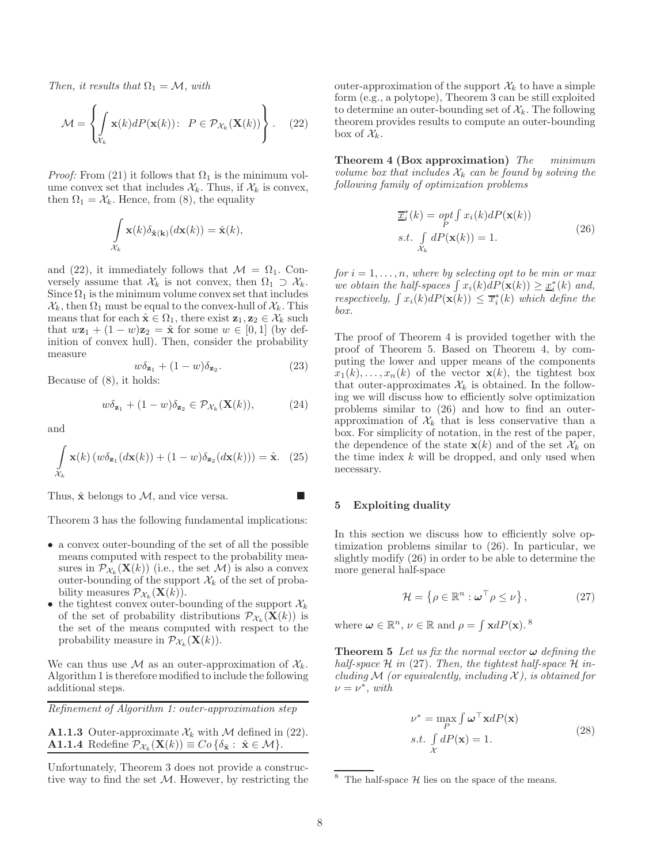Then, it results that  $\Omega_1 = \mathcal{M}$ , with

$$
\mathcal{M} = \left\{ \int_{\mathcal{X}_k} \mathbf{x}(k) dP(\mathbf{x}(k)) \colon \ P \in \mathcal{P}_{\mathcal{X}_k}(\mathbf{X}(k)) \right\}.
$$
 (22)

*Proof:* From (21) it follows that  $\Omega_1$  is the minimum volume convex set that includes  $\mathcal{X}_k$ . Thus, if  $\mathcal{X}_k$  is convex, then  $\Omega_1 = \mathcal{X}_k$ . Hence, from (8), the equality

$$
\int_{\mathcal{X}_k} \mathbf{x}(k) \delta_{\hat{\mathbf{x}}(k)}(d\mathbf{x}(k)) = \hat{\mathbf{x}}(k),
$$

and (22), it immediately follows that  $\mathcal{M} = \Omega_1$ . Conversely assume that  $\mathcal{X}_k$  is not convex, then  $\Omega_1 \supset \mathcal{X}_k$ . Since  $\Omega_1$  is the minimum volume convex set that includes  $\mathcal{X}_k$ , then  $\Omega_1$  must be equal to the convex-hull of  $\mathcal{X}_k$ . This means that for each  $\hat{\mathbf{x}} \in \Omega_1$ , there exist  $\mathbf{z}_1, \mathbf{z}_2 \in \mathcal{X}_k$  such that  $w\mathbf{z}_1 + (1 - w)\mathbf{z}_2 = \hat{\mathbf{x}}$  for some  $w \in [0, 1]$  (by definition of convex hull). Then, consider the probability measure

$$
w\delta_{\mathbf{z}_1} + (1 - w)\delta_{\mathbf{z}_2}.\tag{23}
$$

Because of (8), it holds:

$$
w\delta_{\mathbf{z}_1} + (1 - w)\delta_{\mathbf{z}_2} \in \mathcal{P}_{\mathcal{X}_k}(\mathbf{X}(k)),\tag{24}
$$

and

$$
\int_{\mathcal{X}_k} \mathbf{x}(k) \left( w \delta_{\mathbf{z}_1} (d\mathbf{x}(k)) + (1 - w) \delta_{\mathbf{z}_2} (d\mathbf{x}(k)) \right) = \hat{\mathbf{x}}.
$$
 (25)

Thus,  $\hat{\mathbf{x}}$  belongs to  $\mathcal{M}$ , and vice versa.

Theorem 3 has the following fundamental implications:

- a convex outer-bounding of the set of all the possible means computed with respect to the probability measures in  $\mathcal{P}_{\mathcal{X}_k}(\mathbf{X}(k))$  (i.e., the set  $\mathcal{M})$  is also a convex outer-bounding of the support  $\mathcal{X}_k$  of the set of probability measures  $\mathcal{P}_{\mathcal{X}_k}(\mathbf{X}(k)).$
- the tightest convex outer-bounding of the support  $\mathcal{X}_k$ of the set of probability distributions  $\mathcal{P}_{\mathcal{X}_k}(\mathbf{X}(k))$  is the set of the means computed with respect to the probability measure in  $\mathcal{P}_{\mathcal{X}_k}(\mathbf{X}(k)).$

We can thus use M as an outer-approximation of  $\mathcal{X}_k$ . Algorithm 1 is therefore modified to include the following additional steps.

Refinement of Algorithm 1: outer-approximation step

**A1.1.3** Outer-approximate  $\mathcal{X}_k$  with M defined in (22). **A1.1.4** Redefine  $\mathcal{P}_{\mathcal{X}_k}(\mathbf{X}(k)) \equiv Co\{\delta_{\hat{\mathbf{x}}} : \ \hat{\mathbf{x}} \in \mathcal{M}\}.$ 

Unfortunately, Theorem 3 does not provide a constructive way to find the set  $M$ . However, by restricting the outer-approximation of the support  $\mathcal{X}_k$  to have a simple form (e.g., a polytope), Theorem 3 can be still exploited to determine an outer-bounding set of  $\mathcal{X}_k$ . The following theorem provides results to compute an outer-bounding box of  $\mathcal{X}_k$ .

Theorem 4 (Box approximation) The minimum volume box that includes  $\mathcal{X}_k$  can be found by solving the following family of optimization problems

$$
\overline{\underline{x}}_i^*(k) = \underset{P}{\underset{P}{\text{opt}}} \int x_i(k) dP(\mathbf{x}(k))
$$
\n
$$
s.t. \int_{\mathcal{X}_k} dP(\mathbf{x}(k)) = 1.
$$
\n(26)

for  $i = 1, \ldots, n$ , where by selecting opt to be min or max we obtain the half-spaces  $\int x_i(k)dP(\mathbf{x}(k)) \geq \underline{x}_i^*(k)$  and, respectively,  $\int x_i(k)dP(\mathbf{x}(k)) \leq \overline{x}_i^*(k)$  which define the box.

The proof of Theorem 4 is provided together with the proof of Theorem 5. Based on Theorem 4, by computing the lower and upper means of the components  $x_1(k), \ldots, x_n(k)$  of the vector  $\mathbf{x}(k)$ , the tightest box that outer-approximates  $\mathcal{X}_k$  is obtained. In the following we will discuss how to efficiently solve optimization problems similar to (26) and how to find an outerapproximation of  $\mathcal{X}_k$  that is less conservative than a box. For simplicity of notation, in the rest of the paper, the dependence of the state  $\mathbf{x}(k)$  and of the set  $\mathcal{X}_k$  on the time index  $k$  will be dropped, and only used when necessary.

# 5 Exploiting duality

In this section we discuss how to efficiently solve optimization problems similar to (26). In particular, we slightly modify (26) in order to be able to determine the more general half-space

$$
\mathcal{H} = \left\{ \rho \in \mathbb{R}^n : \boldsymbol{\omega}^\top \rho \le \nu \right\},\tag{27}
$$

where  $\boldsymbol{\omega} \in \mathbb{R}^n$ ,  $\nu \in \mathbb{R}$  and  $\rho = \int \mathbf{x} dP(\mathbf{x})$ .<sup>8</sup>

**Theorem 5** Let us fix the normal vector  $\omega$  defining the half-space  $\mathcal H$  in (27). Then, the tightest half-space  $\mathcal H$  including  $\mathcal M$  (or equivalently, including  $\mathcal X$ ), is obtained for  $\nu = \nu^*$ , with

$$
\nu^* = \max_{P} \int \omega^{\top} \mathbf{x} dP(\mathbf{x})
$$
  
s.t. 
$$
\int_{\mathcal{X}} dP(\mathbf{x}) = 1.
$$
 (28)

The half-space  $H$  lies on the space of the means.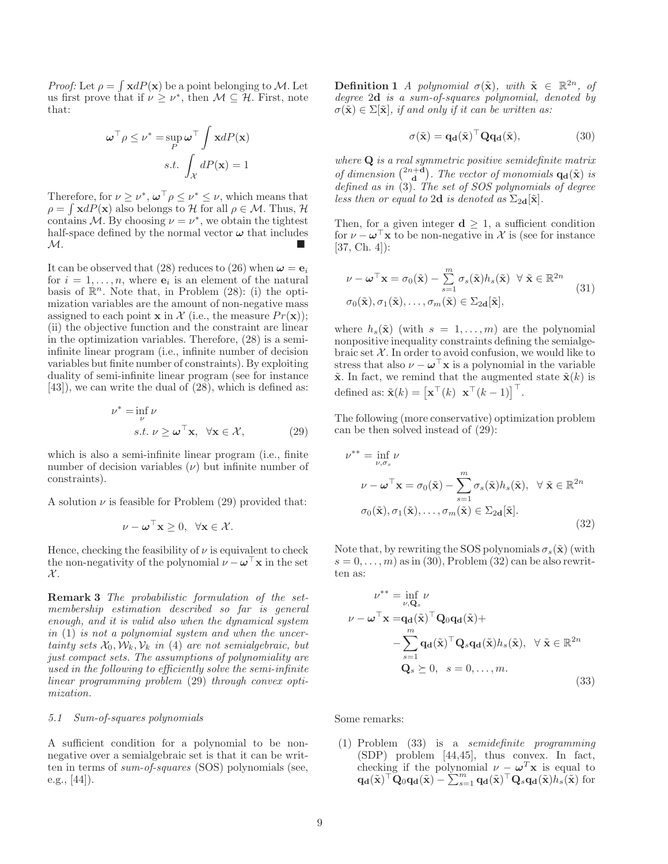*Proof:* Let  $\rho = \int \mathbf{x} dP(\mathbf{x})$  be a point belonging to M. Let us first prove that if  $\nu \geq \nu^*$ , then  $\mathcal{M} \subseteq \mathcal{H}$ . First, note that:

$$
\omega^{\top} \rho \leq \nu^* = \sup_P \omega^{\top} \int \mathbf{x} dP(\mathbf{x})
$$
  
s.t. 
$$
\int_{\mathcal{X}} dP(\mathbf{x}) = 1
$$

Therefore, for  $\nu \geq \nu^*$ ,  $\omega^{\top} \rho \leq \nu^* \leq \nu$ , which means that  $\rho = \int \mathbf{x} dP(\mathbf{x})$  also belongs to H for all  $\rho \in \mathcal{M}$ . Thus, H contains M. By choosing  $\nu = \nu^*$ , we obtain the tightest half-space defined by the normal vector  $\omega$  that includes  $\mathcal{M}$ .

It can be observed that (28) reduces to (26) when  $\boldsymbol{\omega} = \mathbf{e}_i$ for  $i = 1, \ldots, n$ , where  $e_i$  is an element of the natural basis of  $\mathbb{R}^n$ . Note that, in Problem (28): (i) the optimization variables are the amount of non-negative mass assigned to each point **x** in X (i.e., the measure  $Pr(\mathbf{x})$ ); (ii) the objective function and the constraint are linear in the optimization variables. Therefore, (28) is a semiinfinite linear program (i.e., infinite number of decision variables but finite number of constraints). By exploiting duality of semi-infinite linear program (see for instance [43]), we can write the dual of (28), which is defined as:

$$
\nu^* = \inf_{\nu} \nu
$$
  
s.t.  $\nu \ge \omega^{\top} \mathbf{x}, \quad \forall \mathbf{x} \in \mathcal{X},$  (29)

which is also a semi-infinite linear program (i.e., finite number of decision variables  $(\nu)$  but infinite number of constraints).

A solution  $\nu$  is feasible for Problem (29) provided that:

$$
\nu - \boldsymbol{\omega}^\top \mathbf{x} \geq 0, \ \forall \mathbf{x} \in \mathcal{X}.
$$

Hence, checking the feasibility of  $\nu$  is equivalent to check the non-negativity of the polynomial  $\nu - \boldsymbol{\omega}^\top \mathbf{x}$  in the set  $\mathcal{X}.$ 

Remark 3 The probabilistic formulation of the setmembership estimation described so far is general enough, and it is valid also when the dynamical system in (1) is not a polynomial system and when the uncertainty sets  $\mathcal{X}_0, \mathcal{W}_k, \mathcal{V}_k$  in (4) are not semialgebraic, but just compact sets. The assumptions of polynomiality are used in the following to efficiently solve the semi-infinite linear programming problem (29) through convex optimization.

## 5.1 Sum-of-squares polynomials

A sufficient condition for a polynomial to be nonnegative over a semialgebraic set is that it can be written in terms of sum-of-squares (SOS) polynomials (see, e.g., [44]).

**Definition 1** A polynomial  $\sigma(\tilde{\mathbf{x}})$ , with  $\tilde{\mathbf{x}} \in \mathbb{R}^{2n}$ , of degree 2d is a sum-of-squares polynomial, denoted by  $\sigma(\tilde{\mathbf{x}}) \in \Sigma[\tilde{\mathbf{x}}]$ , if and only if it can be written as:

$$
\sigma(\tilde{\mathbf{x}}) = \mathbf{q_d}(\tilde{\mathbf{x}})^\top \mathbf{Q} \mathbf{q_d}(\tilde{\mathbf{x}}),\tag{30}
$$

where  $\mathbf Q$  is a real symmetric positive semidefinite matrix of dimension  $\binom{2n+d}{d}$ . The vector of monomials  $q_d(\tilde{x})$  is defined as in (3). The set of SOS polynomials of degree less then or equal to 2d is denoted as  $\Sigma_{2d}[\tilde{\mathbf{x}}]$ .

Then, for a given integer  $d \geq 1$ , a sufficient condition for  $\nu - \boldsymbol{\omega}^{\top} \mathbf{x}$  to be non-negative in X is (see for instance [37, Ch. 4]):

$$
\nu - \boldsymbol{\omega}^{\top} \mathbf{x} = \sigma_0(\tilde{\mathbf{x}}) - \sum_{s=1}^{m} \sigma_s(\tilde{\mathbf{x}}) h_s(\tilde{\mathbf{x}}) \quad \forall \ \tilde{\mathbf{x}} \in \mathbb{R}^{2n}
$$
  

$$
\sigma_0(\tilde{\mathbf{x}}), \sigma_1(\tilde{\mathbf{x}}), \dots, \sigma_m(\tilde{\mathbf{x}}) \in \Sigma_{2d}[\tilde{\mathbf{x}}],
$$
 (31)

where  $h_s(\tilde{\mathbf{x}})$  (with  $s = 1, \ldots, m$ ) are the polynomial nonpositive inequality constraints defining the semialgebraic set  $X$ . In order to avoid confusion, we would like to stress that also  $\nu - \boldsymbol{\omega}^\top \mathbf{x}$  is a polynomial in the variable  $\tilde{\mathbf{x}}$ . In fact, we remind that the augmented state  $\tilde{\mathbf{x}}(k)$  is defined as:  $\tilde{\mathbf{x}}(k) = \begin{bmatrix} \mathbf{x}^{\top}(k) & \mathbf{x}^{\top}(k-1) \end{bmatrix}^{\top}$ .

The following (more conservative) optimization problem can be then solved instead of (29):

$$
\nu^{**} = \inf_{\nu, \sigma_s} \nu
$$
  
\n
$$
\nu - \omega^{\top} \mathbf{x} = \sigma_0(\tilde{\mathbf{x}}) - \sum_{s=1}^m \sigma_s(\tilde{\mathbf{x}}) h_s(\tilde{\mathbf{x}}), \quad \forall \ \tilde{\mathbf{x}} \in \mathbb{R}^{2n}
$$
  
\n
$$
\sigma_0(\tilde{\mathbf{x}}), \sigma_1(\tilde{\mathbf{x}}), \dots, \sigma_m(\tilde{\mathbf{x}}) \in \Sigma_{2d}[\tilde{\mathbf{x}}].
$$
\n(32)

Note that, by rewriting the SOS polynomials  $\sigma_s(\tilde{\mathbf{x}})$  (with  $s = 0, \ldots, m$  as in (30), Problem (32) can be also rewritten as:

$$
\nu^{**} = \inf_{\nu, \mathbf{Q}_s} \nu
$$
  
\n
$$
\nu - \omega^{\top} \mathbf{x} = \mathbf{q_d}(\tilde{\mathbf{x}})^{\top} \mathbf{Q}_0 \mathbf{q_d}(\tilde{\mathbf{x}}) +
$$
  
\n
$$
- \sum_{s=1}^{m} \mathbf{q_d}(\tilde{\mathbf{x}})^{\top} \mathbf{Q}_s \mathbf{q_d}(\tilde{\mathbf{x}}) h_s(\tilde{\mathbf{x}}), \quad \forall \ \tilde{\mathbf{x}} \in \mathbb{R}^{2n}
$$
  
\n
$$
\mathbf{Q}_s \succeq 0, \quad s = 0, \dots, m.
$$
\n(33)

Some remarks:

(1) Problem (33) is a semidefinite programming (SDP) problem [44,45], thus convex. In fact, checking if the polynomial  $\nu - \omega^T \mathbf{x}$  is equal to  $\mathbf{q_d}(\tilde{\mathbf{x}})^{\top} \mathbf{Q}_0 \mathbf{q_d}(\tilde{\mathbf{x}}) - \sum_{s=1}^{m} \mathbf{q_d}(\tilde{\mathbf{x}})^{\top} \mathbf{Q}_s \mathbf{q_d}(\tilde{\mathbf{x}}) h_s(\tilde{\mathbf{x}})$  for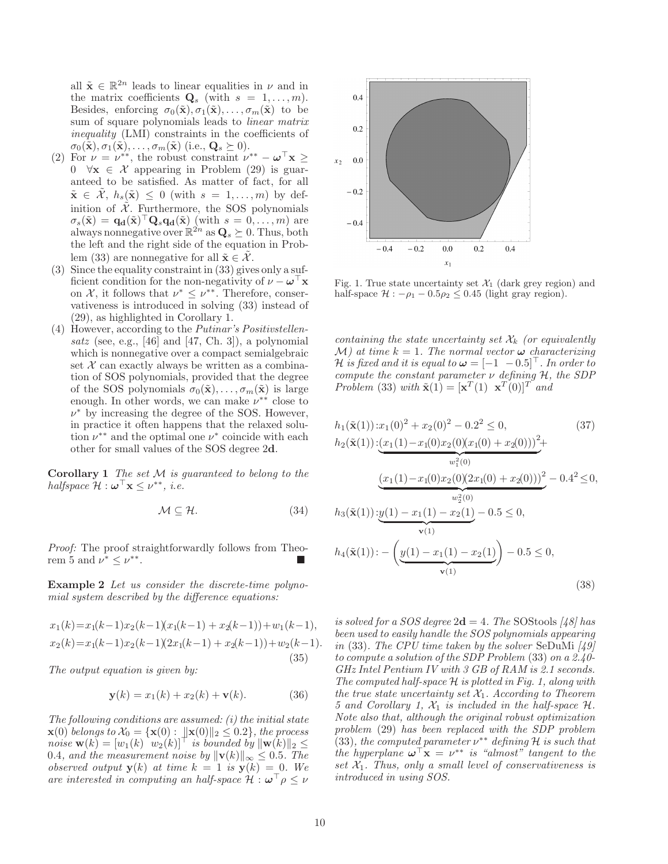all  $\tilde{\mathbf{x}} \in \mathbb{R}^{2n}$  leads to linear equalities in  $\nu$  and in the matrix coefficients  $\mathbf{Q}_s$  (with  $s = 1, \ldots, m$ ). Besides, enforcing  $\sigma_0(\tilde{\mathbf{x}}), \sigma_1(\tilde{\mathbf{x}}), \ldots, \sigma_m(\tilde{\mathbf{x}})$  to be sum of square polynomials leads to linear matrix inequality (LMI) constraints in the coefficients of  $\sigma_0(\tilde{\mathbf{x}}), \sigma_1(\tilde{\mathbf{x}}), \ldots, \sigma_m(\tilde{\mathbf{x}})$  (i.e.,  $\mathbf{Q}_s \succeq 0$ ).

- (2) For  $\nu = \nu^{**}$ , the robust constraint  $\nu^{**} \omega^{\top} \mathbf{x} \geq$ 0  $\forall x \in \mathcal{X}$  appearing in Problem (29) is guaranteed to be satisfied. As matter of fact, for all  $\tilde{\mathbf{x}} \in \tilde{\mathcal{X}}, h_s(\tilde{\mathbf{x}}) \leq 0$  (with  $s = 1, \ldots, m$ ) by definition of  $\tilde{\mathcal{X}}$ . Furthermore, the SOS polynomials  $\sigma_s(\tilde{\mathbf{x}}) = \mathbf{q_d}(\tilde{\mathbf{x}})^{\top} \mathbf{Q}_s \mathbf{q_d}(\tilde{\mathbf{x}})$  (with  $s = 0, \ldots, m$ ) are always nonnegative over  $\mathbb{R}^{2n}$  as  $\mathbf{Q}_s \succeq 0$ . Thus, both the left and the right side of the equation in Problem (33) are nonnegative for all  $\tilde{\mathbf{x}} \in \tilde{\mathcal{X}}$ .
- (3) Since the equality constraint in (33) gives only a sufficient condition for the non-negativity of  $\nu - \boldsymbol{\omega}^{\top} \mathbf{x}$ on  $\mathcal{X}$ , it follows that  $\nu^* \leq \nu^{**}$ . Therefore, conservativeness is introduced in solving (33) instead of (29), as highlighted in Corollary 1.
- (4) However, according to the Putinar's Positivstellensatz (see, e.g., [46] and [47, Ch. 3]), a polynomial which is nonnegative over a compact semialgebraic set  $X$  can exactly always be written as a combination of SOS polynomials, provided that the degree of the SOS polynomials  $\sigma_0(\tilde{\mathbf{x}}), \ldots, \sigma_m(\tilde{\mathbf{x}})$  is large enough. In other words, we can make  $\nu^{**}$  close to  $\nu^*$  by increasing the degree of the SOS. However, in practice it often happens that the relaxed solution  $\nu^{**}$  and the optimal one  $\nu^{*}$  coincide with each other for small values of the SOS degree 2d.

**Corollary 1** The set  $M$  is guaranteed to belong to the halfspace  $\mathcal{H}: \boldsymbol{\omega}^\top \mathbf{x} \leq \nu^{**}, i.e.$ 

$$
\mathcal{M} \subseteq \mathcal{H}.\tag{34}
$$

Proof: The proof straightforwardly follows from Theorem 5 and  $\nu^* \leq \nu^{**}$ .

Example 2 Let us consider the discrete-time polynomial system described by the difference equations:

$$
x_1(k) = x_1(k-1)x_2(k-1)(x_1(k-1) + x_2(k-1)) + w_1(k-1),
$$
  
\n
$$
x_2(k) = x_1(k-1)x_2(k-1)(2x_1(k-1) + x_2(k-1)) + w_2(k-1).
$$
  
\n(35)

The output equation is given by:

$$
y(k) = x_1(k) + x_2(k) + v(k).
$$
 (36)

The following conditions are assumed: (i) the initial state  $\mathbf{x}(0)$  belongs to  $\mathcal{X}_0 = \{\mathbf{x}(0):\; \|\mathbf{x}(0)\|_2 \leq 0.2\},$  the process noise  $\mathbf{w}(k) = [w_1(k) \ w_2(k)]^\top$  is bounded by  $\|\mathbf{w}(k)\|_2 \leq$ 0.4, and the measurement noise by  $\|\mathbf{v}(k)\|_{\infty} \leq 0.5$ . The observed output  $y(k)$  at time  $k = 1$  is  $y(k) = 0$ . We are interested in computing an half-space  $\mathcal{H}: \omega^{\top} \rho \leq \nu$ 



Fig. 1. True state uncertainty set  $\mathcal{X}_1$  (dark grey region) and half-space  $\mathcal{H}$  :  $-\rho_1 - 0.5\rho_2 \leq 0.45$  (light gray region).

containing the state uncertainty set  $\mathcal{X}_k$  (or equivalently M) at time  $k = 1$ . The normal vector  $\omega$  characterizing H is fixed and it is equal to  $\boldsymbol{\omega} = [-1 \ -0.5]^\top$ . In order to compute the constant parameter  $\nu$  defining  $\mathcal{H}$ , the SDP Problem (33) with  $\tilde{\mathbf{x}}(1) = [\mathbf{x}^T(1) \ \mathbf{x}^T(0)]^T$  and

$$
h_1(\tilde{\mathbf{x}}(1)) : x_1(0)^2 + x_2(0)^2 - 0.2^2 \le 0,
$$
\n
$$
h_2(\tilde{\mathbf{x}}(1)) : \underbrace{(x_1(1) - x_1(0)x_2(0)(x_1(0) + x_2(0)))^2}_{w_1^2(0)} + \underbrace{(x_1(1) - x_1(0)x_2(0)(2x_1(0) + x_2(0)))^2}_{w_2^2(0)} - 0.4^2 \le 0,
$$
\n
$$
h_3(\tilde{\mathbf{x}}(1)) : \underbrace{y(1) - x_1(1) - x_2(1)}_{\mathbf{v}(1)} - 0.5 \le 0,
$$
\n
$$
h_4(\tilde{\mathbf{x}}(1)) : - \underbrace{\left(y(1) - x_1(1) - x_2(1)}_{\mathbf{v}(1)}\right) - 0.5 \le 0,
$$
\n(38)

is solved for a SOS degree  $2d = 4$ . The SOStools [48] has been used to easily handle the SOS polynomials appearing in (33). The CPU time taken by the solver SeDuMi  $[49]$ to compute a solution of the SDP Problem (33) on a 2.40- GHz Intel Pentium IV with 3 GB of RAM is 2.1 seconds. The computed half-space  $\mathcal H$  is plotted in Fig. 1, along with the true state uncertainty set  $\mathcal{X}_1$ . According to Theorem 5 and Corollary 1,  $\mathcal{X}_1$  is included in the half-space  $\mathcal{H}$ . Note also that, although the original robust optimization problem (29) has been replaced with the SDP problem (33), the computed parameter  $\nu^{**}$  defining H is such that the hyperplane  $\boldsymbol{\omega}^\top \mathbf{x} = \nu^{**}$  is "almost" tangent to the set  $\mathcal{X}_1$ . Thus, only a small level of conservativeness is introduced in using SOS.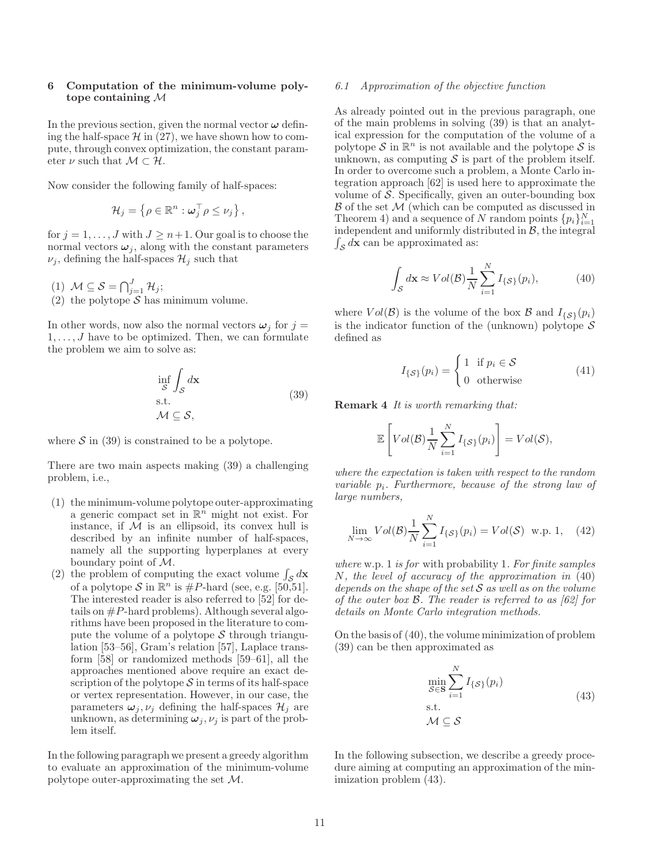## 6 Computation of the minimum-volume polytope containing M

In the previous section, given the normal vector  $\omega$  defining the half-space  $\mathcal{H}$  in (27), we have shown how to compute, through convex optimization, the constant parameter  $\nu$  such that  $\mathcal{M} \subset \mathcal{H}$ .

Now consider the following family of half-spaces:

$$
\mathcal{H}_j = \left\{ \rho \in \mathbb{R}^n : \omega_j^\top \rho \leq \nu_j \right\},\
$$

for  $j = 1, \ldots, J$  with  $J \geq n+1$ . Our goal is to choose the normal vectors  $\boldsymbol{\omega}_i$ , along with the constant parameters  $\nu_j$ , defining the half-spaces  $\mathcal{H}_j$  such that

(1)  $\mathcal{M} \subseteq \mathcal{S} = \bigcap_{j=1}^{J} \mathcal{H}_j;$ 

(2) the polytope  $S$  has minimum volume.

In other words, now also the normal vectors  $\omega_i$  for  $j =$  $1, \ldots, J$  have to be optimized. Then, we can formulate the problem we aim to solve as:

$$
\inf_{S} \int_{S} d\mathbf{x} \text{s.t.} \mathcal{M} \subseteq S,
$$
\n(39)

where  $\mathcal S$  in (39) is constrained to be a polytope.

There are two main aspects making (39) a challenging problem, i.e.,

- (1) the minimum-volume polytope outer-approximating a generic compact set in  $\mathbb{R}^n$  might not exist. For instance, if  $M$  is an ellipsoid, its convex hull is described by an infinite number of half-spaces, namely all the supporting hyperplanes at every boundary point of M.
- (2) the problem of computing the exact volume  $\int_{\mathcal{S}} d\mathbf{x}$ of a polytope S in  $\mathbb{R}^n$  is  $\#P$ -hard (see, e.g. [50,51]. The interested reader is also referred to [52] for details on  $\#P$ -hard problems). Although several algorithms have been proposed in the literature to compute the volume of a polytope  $S$  through triangulation [53–56], Gram's relation [57], Laplace transform [58] or randomized methods [59–61], all the approaches mentioned above require an exact description of the polytope  $S$  in terms of its half-space or vertex representation. However, in our case, the parameters  $\omega_j, \nu_j$  defining the half-spaces  $\mathcal{H}_j$  are unknown, as determining  $\omega_j, \nu_j$  is part of the problem itself.

In the following paragraph we present a greedy algorithm to evaluate an approximation of the minimum-volume polytope outer-approximating the set M.

#### 6.1 Approximation of the objective function

As already pointed out in the previous paragraph, one of the main problems in solving (39) is that an analytical expression for the computation of the volume of a polytope  $S$  in  $\mathbb{R}^n$  is not available and the polytope  $S$  is unknown, as computing  $S$  is part of the problem itself. In order to overcome such a problem, a Monte Carlo integration approach [62] is used here to approximate the volume of  $S$ . Specifically, given an outer-bounding box  $\beta$  of the set  $\mathcal M$  (which can be computed as discussed in Theorem 4) and a sequence of N random points  $\{p_i\}_{i=1}^N$ independent and uniformly distributed in  $\mathcal{B}$ , the integral  $\int_{\mathcal{S}} d\mathbf{x}$  can be approximated as:

$$
\int_{\mathcal{S}} d\mathbf{x} \approx Vol(\mathcal{B}) \frac{1}{N} \sum_{i=1}^{N} I_{\{\mathcal{S}\}}(p_i),\tag{40}
$$

where  $Vol(\mathcal{B})$  is the volume of the box  $\mathcal{B}$  and  $I_{\{\mathcal{S}\}}(p_i)$ is the indicator function of the (unknown) polytope  $\mathcal S$ defined as

$$
I_{\{\mathcal{S}\}}(p_i) = \begin{cases} 1 & \text{if } p_i \in \mathcal{S} \\ 0 & \text{otherwise} \end{cases}
$$
 (41)

Remark 4 It is worth remarking that:

$$
\mathbb{E}\left[Vol(\mathcal{B})\frac{1}{N}\sum_{i=1}^N I_{\{\mathcal{S}\}}(p_i)\right] = Vol(\mathcal{S}),
$$

where the expectation is taken with respect to the random variable pi. Furthermore, because of the strong law of large numbers,

$$
\lim_{N \to \infty} Vol(\mathcal{B}) \frac{1}{N} \sum_{i=1}^{N} I_{\{\mathcal{S}\}}(p_i) = Vol(\mathcal{S}) \text{ w.p. 1, (42)}
$$

where w.p. 1 is for with probability 1. For finite samples  $N$ , the level of accuracy of the approximation in  $(40)$ depends on the shape of the set  $S$  as well as on the volume of the outer box  $\mathcal{B}$ . The reader is referred to as [62] for details on Monte Carlo integration methods.

On the basis of (40), the volume minimization of problem (39) can be then approximated as

$$
\min_{\mathcal{S}\in\mathbf{S}} \sum_{i=1}^{N} I_{\{\mathcal{S}\}}(p_i)
$$
\n
$$
\text{s.t.} \quad \mathcal{M} \subseteq \mathcal{S} \tag{43}
$$

In the following subsection, we describe a greedy procedure aiming at computing an approximation of the minimization problem (43).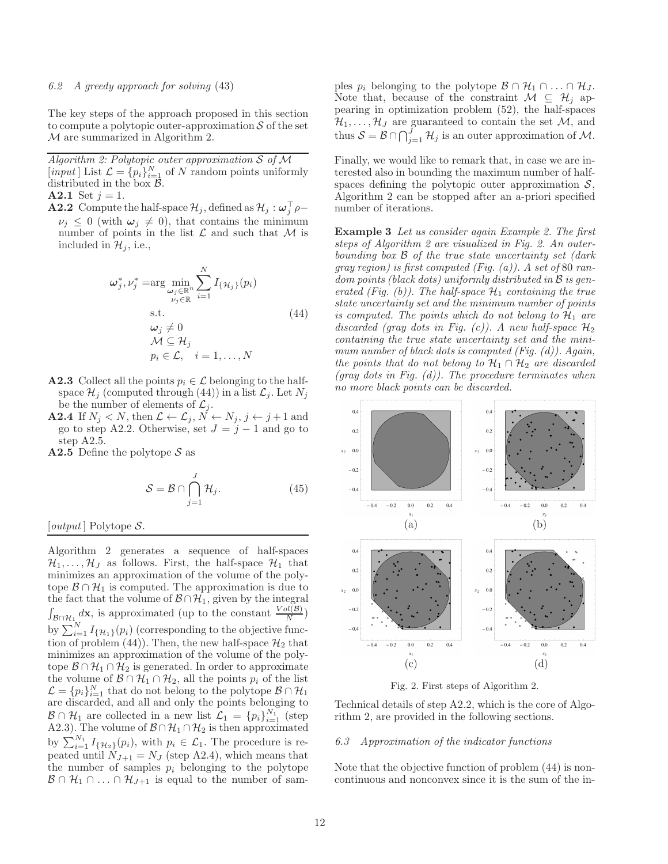#### 6.2 A greedy approach for solving (43)

The key steps of the approach proposed in this section to compute a polytopic outer-approximation  $S$  of the set M are summarized in Algorithm 2.

Algorithm 2: Polytopic outer approximation S of M [*input*] List  $\mathcal{L} = \{p_i\}_{i=1}^N$  of N random points uniformly distributed in the box B.

**A2.1** Set  $j = 1$ .

**A2.2** Compute the half-space  $\mathcal{H}_j$ , defined as  $\mathcal{H}_j : \omega_j^{\top} \rho \nu_j \leq 0$  (with  $\omega_j \neq 0$ ), that contains the minimum number of points in the list  $\mathcal L$  and such that  $\mathcal M$  is included in  $\mathcal{H}_j$ , i.e.,

$$
\omega_j^*, \nu_j^* = \arg\min_{\substack{\omega_j \in \mathbb{R}^n \\ \nu_j \in \mathbb{R}}} \sum_{i=1}^N I_{\{\mathcal{H}_j\}}(p_i)
$$
  
s.t.  

$$
\omega_j \neq 0
$$
  

$$
\mathcal{M} \subseteq \mathcal{H}_j
$$
  

$$
p_i \in \mathcal{L}, \quad i = 1, ..., N
$$
 (44)

- **A2.3** Collect all the points  $p_i \in \mathcal{L}$  belonging to the halfspace  $\mathcal{H}_j$  (computed through (44)) in a list  $\mathcal{L}_j$ . Let  $N_j$ be the number of elements of  $\mathcal{L}_j$ .
- **A2.4** If  $N_j < N$ , then  $\mathcal{L} \leftarrow \mathcal{L}_j$ ,  $N \leftarrow N_j$ ,  $j \leftarrow j+1$  and go to step A2.2. Otherwise, set  $J = j - 1$  and go to step A2.5.
- **A2.5** Define the polytope  $S$  as

$$
S = B \cap \bigcap_{j=1}^{J} \mathcal{H}_j.
$$
 (45)

[*output*] Polytope  $S$ .

Algorithm 2 generates a sequence of half-spaces  $\mathcal{H}_1, \ldots, \mathcal{H}_J$  as follows. First, the half-space  $\mathcal{H}_1$  that minimizes an approximation of the volume of the polytope  $\mathcal{B} \cap \mathcal{H}_1$  is computed. The approximation is due to the fact that the volume of  $\mathcal{B} \cap \mathcal{H}_1$ , given by the integral  $\int_{\mathcal{B}\cap\mathcal{H}_1} d\mathbf{x}$ , is approximated (up to the constant  $\frac{Vol(\mathcal{B})}{N}$ ) by  $\sum_{i=1}^{N} I_{\{\mathcal{H}_1\}}(p_i)$  (corresponding to the objective function of problem (44)). Then, the new half-space  $\mathcal{H}_2$  that minimizes an approximation of the volume of the polytope  $\mathcal{B} \cap \mathcal{H}_1 \cap \mathcal{H}_2$  is generated. In order to approximate the volume of  $\mathcal{B} \cap \mathcal{H}_1 \cap \mathcal{H}_2$ , all the points  $p_i$  of the list  $\mathcal{L} = \{p_i\}_{i=1}^N$  that do not belong to the polytope  $\mathcal{B} \cap \mathcal{H}_1$ are discarded, and all and only the points belonging to  $\mathcal{B} \cap \mathcal{H}_1$  are collected in a new list  $\mathcal{L}_1 = \{p_i\}_{i=1}^{N_1}$  (step A2.3). The volume of  $\mathcal{B} \cap \mathcal{H}_1 \cap \mathcal{H}_2$  is then approximated by  $\sum_{i=1}^{N_1} I_{\{\mathcal{H}_2\}}(p_i)$ , with  $p_i \in \mathcal{L}_1$ . The procedure is repeated until  $N_{J+1} = N_J$  (step A2.4), which means that the number of samples  $p_i$  belonging to the polytope  $\mathcal{B} \cap \mathcal{H}_1 \cap \ldots \cap \mathcal{H}_{J+1}$  is equal to the number of samples  $p_i$  belonging to the polytope  $\mathcal{B} \cap \mathcal{H}_1 \cap \ldots \cap \mathcal{H}_J$ . Note that, because of the constraint  $\mathcal{M} \subseteq \mathcal{H}_j$  appearing in optimization problem (52), the half-spaces  $\mathcal{H}_1, \ldots, \mathcal{H}_J$  are guaranteed to contain the set  $\mathcal{M}$ , and thus  $S = \mathcal{B} \cap \bigcap_{j=1}^J \mathcal{H}_j$  is an outer approximation of  $\mathcal{M}$ .

Finally, we would like to remark that, in case we are interested also in bounding the maximum number of halfspaces defining the polytopic outer approximation  $S$ , Algorithm 2 can be stopped after an a-priori specified number of iterations.

Example 3 Let us consider again Example 2. The first steps of Algorithm 2 are visualized in Fig. 2. An outerbounding box B of the true state uncertainty set (dark gray region) is first computed (Fig.  $(a)$ ). A set of 80 random points (black dots) uniformly distributed in  $\beta$  is generated (Fig.  $(b)$ ). The half-space  $\mathcal{H}_1$  containing the true state uncertainty set and the minimum number of points is computed. The points which do not belong to  $\mathcal{H}_1$  are discarded (gray dots in Fig. (c)). A new half-space  $\mathcal{H}_2$ containing the true state uncertainty set and the minimum number of black dots is computed  $(Fig. (d))$ . Again, the points that do not belong to  $\mathcal{H}_1 \cap \mathcal{H}_2$  are discarded (gray dots in Fig.  $(d)$ ). The procedure terminates when no more black points can be discarded.



Fig. 2. First steps of Algorithm 2.

Technical details of step A2.2, which is the core of Algorithm 2, are provided in the following sections.

## 6.3 Approximation of the indicator functions

Note that the objective function of problem (44) is noncontinuous and nonconvex since it is the sum of the in-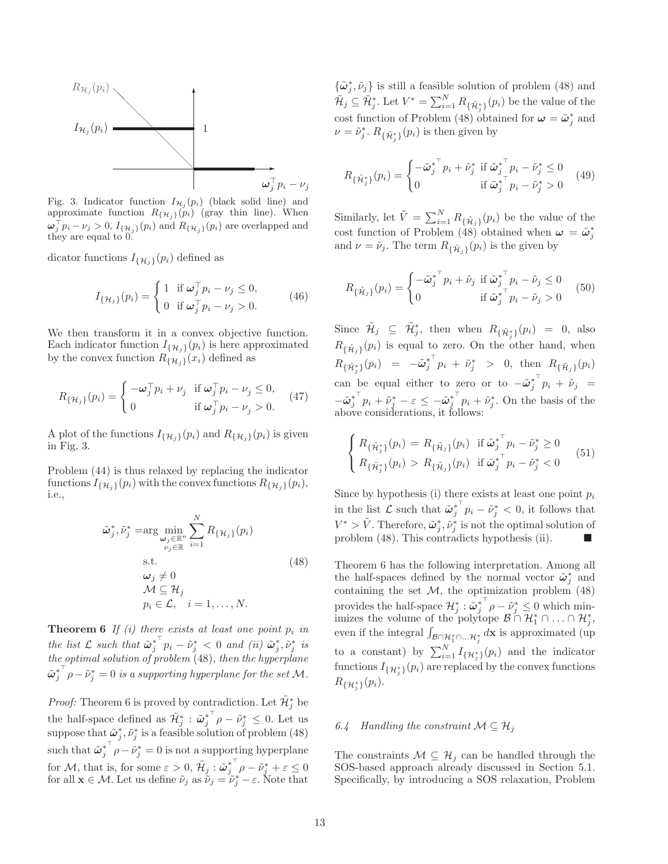

Fig. 3. Indicator function  $I_{\mathcal{H}_j}(p_i)$  (black solid line) and approximate function  $R_{\{\mathcal{H}_j\}}(p_i)$  (gray thin line). When  $\omega_j^{\top} p_i - \nu_j > 0$ ,  $I_{\{\mathcal{H}_j\}}(p_i)$  and  $R_{\{\mathcal{H}_j\}}(p_i)$  are overlapped and they are equal to 0.

dicator functions  $I_{\{\mathcal{H}_i\}}(p_i)$  defined as

$$
I_{\{\mathcal{H}_j\}}(p_i) = \begin{cases} 1 & \text{if } \boldsymbol{\omega}_j^\top p_i - \nu_j \le 0, \\ 0 & \text{if } \boldsymbol{\omega}_j^\top p_i - \nu_j > 0. \end{cases} \tag{46}
$$

We then transform it in a convex objective function. Each indicator function  $I_{\{\mathcal{H}_i\}}(p_i)$  is here approximated by the convex function  $R_{\{\mathcal{H}_i\}}(x_i)$  defined as

$$
R_{\{\mathcal{H}_j\}}(p_i) = \begin{cases} -\omega_j^\top p_i + \nu_j & \text{if } \omega_j^\top p_i - \nu_j \le 0, \\ 0 & \text{if } \omega_j^\top p_i - \nu_j > 0. \end{cases} (47)
$$

A plot of the functions  $I_{\{\mathcal{H}_i\}}(p_i)$  and  $R_{\{\mathcal{H}_i\}}(p_i)$  is given in Fig. 3.

Problem (44) is thus relaxed by replacing the indicator functions  $I_{\{\mathcal{H}_j\}}(p_i)$  with the convex functions  $R_{\{\mathcal{H}_j\}}(p_i)$ , i.e.,

$$
\tilde{\omega}_j^*, \tilde{\nu}_j^* = \arg\min_{\substack{\omega_j \in \mathbb{R}^n \\ \nu_j \in \mathbb{R}}} \sum_{i=1}^N R_{\{\mathcal{H}_j\}}(p_i)
$$
\ns.t.\n
$$
\omega_j \neq 0
$$
\n
$$
\mathcal{M} \subseteq \mathcal{H}_j
$$
\n
$$
p_i \in \mathcal{L}, \quad i = 1, ..., N.
$$
\n(48)

**Theorem 6** If (i) there exists at least one point  $p_i$  in the list  $\mathcal L$  such that  $\tilde{\boldsymbol{\omega}}_i^*$  $j^*{\,}^! \: p_i - \tilde{\nu}^*_j < 0 \: \textit{and} \: \textit{(ii)} \: \tilde{\bm{\omega}}^*_j, \tilde{\nu}^*_j \: \textit{is}$ the optimal solution of problem (48), then the hyperplane  $\tilde{\bm{\omega}}_j^{*^+} \rho - \tilde{\nu}_j^{*} = 0$  is a supporting hyperplane for the set M.

*Proof:* Theorem 6 is proved by contradiction. Let  $\tilde{\mathcal{H}}_j^*$  be the half-space defined as  $\tilde{\mathcal{H}}_j^*$ :  $\tilde{\omega}_j^{*^{\top}} \rho - \tilde{\nu}_j^* \leq 0$ . Let us suppose that  $\tilde{\omega}_j^*, \tilde{\nu}_j^*$  is a feasible solution of problem (48) such that  $\tilde{\omega}_j^{*^{\top}} \rho - \tilde{\nu}_j^{*} = 0$  is not a supporting hyperplane for *M*, that is, for some  $\varepsilon > 0$ ,  $\tilde{\mathcal{H}}_j : \tilde{\boldsymbol{\omega}}_j^{*^\top} \rho - \tilde{\nu}_j^* + \varepsilon \leq 0$ for all  $\mathbf{x} \in \mathcal{M}$ . Let us define  $\tilde{\nu}_j$  as  $\tilde{\nu}_j = \tilde{\nu}_j^* - \varepsilon$ . Note that  $\{\tilde{\omega}_j^*, \tilde{\nu}_j\}$  is still a feasible solution of problem (48) and  $\tilde{\mathcal{H}}_j \subseteq \tilde{\mathcal{H}}_j^*$ . Let  $V^* = \sum_{i=1}^N R_{\{\tilde{\mathcal{H}}_j^*\}}(p_i)$  be the value of the cost function of Problem (48) obtained for  $\boldsymbol{\omega} = \tilde{\boldsymbol{\omega}}_j^*$  and  $\nu = \tilde{\nu}_j^*$ .  $R_{\{\tilde{\mathcal{H}}_j^*\}}(p_i)$  is then given by

$$
R_{\{\tilde{\mathcal{H}}_{j}^{*}\}}(p_{i}) = \begin{cases} -\tilde{\omega}_{j}^{*^{\top}} p_{i} + \tilde{\nu}_{j}^{*} & \text{if } \tilde{\omega}_{j}^{*^{\top}} p_{i} - \tilde{\nu}_{j}^{*} \leq 0\\ 0 & \text{if } \tilde{\omega}_{j}^{*^{\top}} p_{i} - \tilde{\nu}_{j}^{*} > 0 \end{cases}
$$
(49)

Similarly, let  $\tilde{V} = \sum_{i=1}^{N} R_{\{\tilde{\mathcal{H}}_j\}}(p_i)$  be the value of the cost function of Problem (48) obtained when  $\omega = \tilde{\omega}_j^*$ and  $\nu = \tilde{\nu}_j$ . The term  $R_{\{\tilde{\mathcal{H}}_j\}}(p_i)$  is the given by

$$
R_{\{\tilde{\mathcal{H}}_j\}}(p_i) = \begin{cases} -\tilde{\boldsymbol{\omega}}_j^*^{\top} p_i + \tilde{\nu}_j & \text{if } \tilde{\boldsymbol{\omega}}_j^*^{\top} p_i - \tilde{\nu}_j \le 0\\ 0 & \text{if } \tilde{\boldsymbol{\omega}}_j^*^{\top} p_i - \tilde{\nu}_j > 0 \end{cases}
$$
(50)

Since  $\tilde{\mathcal{H}}_j \subseteq \tilde{\mathcal{H}}_j^*$ , then when  $R_{\{\tilde{\mathcal{H}}_j^*\}}(p_i) = 0$ , also  $R_{\{\tilde{\mathcal{H}}_j\}}(p_i)$  is equal to zero. On the other hand, when  $R_{\lbrace \tilde{\mathcal{H}}_{j}^{*} \rbrace}(p_{i}) = -\tilde{\boldsymbol{\omega}}_{j}^{*^{\top}}$  $j^* p_i + \tilde{\nu}_j^* > 0$ , then  $R_{\{\tilde{\mathcal{H}}_j\}}(p_i)$ can be equal either to zero or to  $-\tilde{\omega}_j^{*\top} p_i + \tilde{\nu}_j =$  $-\tilde{\omega}_j^*^{\top} p_i + \tilde{\nu}_j^* - \varepsilon \le -\tilde{\omega}_j^*^{\top} p_i + \tilde{\nu}_j^*$ . On the basis of the above considerations, it follows:

$$
\begin{cases} R_{\{\tilde{\mathcal{H}}_{j}^{*}\}}(p_{i}) = R_{\{\tilde{\mathcal{H}}_{j}\}}(p_{i}) & \text{if } \tilde{\omega}_{j}^{*} \bar{p}_{i} - \tilde{\nu}_{j}^{*} \ge 0\\ R_{\{\tilde{\mathcal{H}}_{j}^{*}\}}(p_{i}) > R_{\{\tilde{\mathcal{H}}_{j}\}}(p_{i}) & \text{if } \tilde{\omega}_{j}^{*} \bar{p}_{i} - \tilde{\nu}_{j}^{*} < 0 \end{cases}
$$
(51)

Since by hypothesis (i) there exists at least one point  $p_i$ in the list  $\mathcal{L}$  such that  $\tilde{\boldsymbol{\omega}}_i^*$  $j^*$   $p_i - \tilde{\nu}_j^* < 0$ , it follows that  $V^* > \tilde{V}$ . Therefore,  $\tilde{\boldsymbol{\omega}}_j^*, \tilde{\nu}_j^*$  is not the optimal solution of problem (48). This contradicts hypothesis (ii).

Theorem 6 has the following interpretation. Among all the half-spaces defined by the normal vector  $\tilde{\boldsymbol{\omega}}_j^*$  and containing the set  $M$ , the optimization problem  $(48)$ provides the half-space  $\mathcal{H}_j^* : \tilde{\boldsymbol{\omega}}_j^{*^{\top}} \rho - \tilde{\nu}_j^* \leq 0$  which minimizes the volume of the polytope  $\mathcal{B} \cap \mathcal{H}_1^* \cap \ldots \cap \mathcal{H}_j^*$ , even if the integral  $\int_{\mathcal{B}\cap\mathcal{H}_{1}^{*}\cap...\mathcal{H}_{j}^{*}} d\mathbf{x}$  is approximated (up to a constant) by  $\sum_{i=1}^{N} I_{\{\mathcal{H}_{j}^{*}\}}(p_{i})$  and the indicator functions  $I_{\{H_j^*\}}(p_i)$  are replaced by the convex functions  $R_{\{ {\cal H}^*_j\} }(p_i).$ 

# 6.4 Handling the constraint  $\mathcal{M} \subseteq \mathcal{H}_j$

The constraints  $\mathcal{M} \subseteq \mathcal{H}_j$  can be handled through the SOS-based approach already discussed in Section 5.1. Specifically, by introducing a SOS relaxation, Problem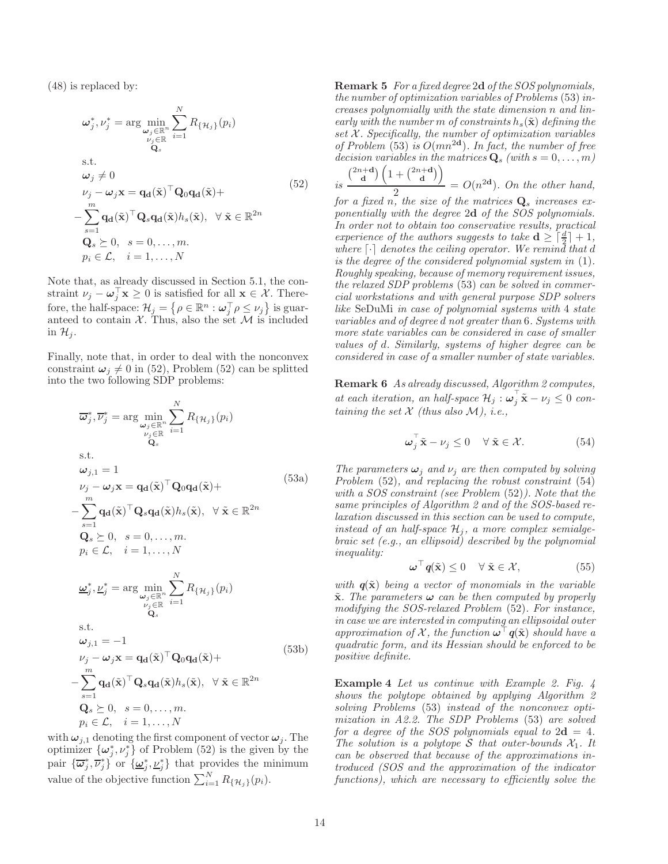(48) is replaced by:

$$
\omega_j^*, \nu_j^* = \arg \min_{\substack{\omega_j \in \mathbb{R}^n \\ \nu_j \in \mathbb{R} \\ \mathbf{Q}_s}} \sum_{i=1}^N R_{\{\mathcal{H}_j\}}(p_i)
$$
\ns.t.\n
$$
\omega_j \neq 0
$$
\n
$$
\nu_j - \omega_j \mathbf{x} = \mathbf{q_d}(\tilde{\mathbf{x}})^{\top} \mathbf{Q}_0 \mathbf{q_d}(\tilde{\mathbf{x}}) +
$$
\n
$$
-\sum_{s=1}^m \mathbf{q_d}(\tilde{\mathbf{x}})^{\top} \mathbf{Q}_s \mathbf{q_d}(\tilde{\mathbf{x}}) h_s(\tilde{\mathbf{x}}), \quad \forall \ \tilde{\mathbf{x}} \in \mathbb{R}^{2n}
$$
\n
$$
\mathbf{Q}_s \succeq 0, \quad s = 0, \dots, m.
$$
\n
$$
p_i \in \mathcal{L}, \quad i = 1, \dots, N
$$
\n(52)

Note that, as already discussed in Section 5.1, the constraint  $\nu_j - \omega_j^{\top} \mathbf{x} \geq 0$  is satisfied for all  $\mathbf{x} \in \mathcal{X}$ . Therefore, the half-space:  $\mathcal{H}_j = \{ \rho \in \mathbb{R}^n : \omega_j^{\top} \rho \leq \nu_j \}$  is guaranteed to contain  $X$ . Thus, also the set  $M$  is included in  $\mathcal{H}_j$ .

Finally, note that, in order to deal with the nonconvex constraint  $\omega_j \neq 0$  in (52), Problem (52) can be splitted into the two following SDP problems:

$$
\overline{\omega}_{j}^{*}, \overline{\nu}_{j}^{*} = \arg \min_{\substack{\omega_{j} \in \mathbb{R}^{n} \\ \nu_{j} \in \mathbb{R} \\ \Omega_{s}}} \sum_{i=1}^{N} R_{\{\mathcal{H}_{j}\}}(p_{i})
$$
\ns.t.\n
$$
\omega_{j,1} = 1
$$
\n
$$
\nu_{j} - \omega_{j} \mathbf{x} = \mathbf{q}_{d}(\tilde{\mathbf{x}})^{\top} \mathbf{Q}_{0} \mathbf{q}_{d}(\tilde{\mathbf{x}}) +
$$
\n
$$
-\sum_{s=1}^{m} \mathbf{q}_{d}(\tilde{\mathbf{x}})^{\top} \mathbf{Q}_{s} \mathbf{q}_{d}(\tilde{\mathbf{x}}) h_{s}(\tilde{\mathbf{x}}), \quad \forall \tilde{\mathbf{x}} \in \mathbb{R}^{2n}
$$
\n
$$
\mathbf{Q}_{s} \succeq 0, \quad s = 0, ..., m.
$$
\n
$$
p_{i} \in \mathcal{L}, \quad i = 1, ..., N
$$
\n
$$
\underline{\omega}_{j}^{*}, \underline{\nu}_{j}^{*} = \arg \min_{\substack{\omega_{j} \in \mathbb{R}^{n} \\ \nu_{j} \in \mathbb{R} \\ \Omega_{s}}} \sum_{i=1}^{N} R_{\{\mathcal{H}_{j}\}}(p_{i})
$$
\ns.t.\n
$$
\omega_{j,1} = -1
$$
\n
$$
\nu_{j} - \omega_{j} \mathbf{x} = \mathbf{q}_{d}(\tilde{\mathbf{x}})^{\top} \mathbf{Q}_{0} \mathbf{q}_{d}(\tilde{\mathbf{x}}) +
$$
\n
$$
-\sum_{s=1}^{m} \mathbf{q}_{d}(\tilde{\mathbf{x}})^{\top} \mathbf{Q}_{s} \mathbf{q}_{d}(\tilde{\mathbf{x}}) h_{s}(\tilde{\mathbf{x}}), \quad \forall \tilde{\mathbf{x}} \in \mathbb{R}^{2n}
$$
\n
$$
\mathbf{Q}_{s} \succeq 0, \quad s = 0, ..., m.
$$
\n
$$
p_{i} \in \mathcal{L}, \quad i = 1, ..., N
$$

with  $\omega_{j,1}$  denoting the first component of vector  $\omega_j$ . The optimizer  $\{\boldsymbol{\omega}_j^*, \nu_j^*\}$  of Problem (52) is the given by the pair  $\{\overline{\omega}_j^*, \overline{\nu}_j^*\}$  or  $\{\underline{\omega}_j^*, \underline{\nu}_j^*\}$  that provides the minimum value of the objective function  $\sum_{i=1}^{N} R_{\{\mathcal{H}_j\}}(p_i)$ .

Remark 5 For a fixed degree 2d of the SOS polynomials, the number of optimization variables of Problems  $(53)$  increases polynomially with the state dimension n and linearly with the number m of constraints  $h_s(\tilde{\mathbf{x}})$  defining the set  $X$ . Specifically, the number of optimization variables of Problem (53) is  $O(mn^{2d})$ . In fact, the number of free decision variables in the matrices  $\mathbf{Q}_s$  (with  $s = 0, \ldots, m$ )

is  $\begin{pmatrix} 2n+\mathbf{d} \\ \mathbf{d} \end{pmatrix} \left( 1 + \begin{pmatrix} 2n+\mathbf{d} \\ \mathbf{d} \end{pmatrix} \right)$  $\frac{d^{(n)}(u)}{2} = O(n^{2d})$ . On the other hand, for a fixed n, the size of the matrices  $\mathbf{Q}_s$  increases exponentially with the degree 2d of the SOS polynomials. In order not to obtain too conservative results, practical experience of the authors suggests to take  $\mathbf{d} \geq \lceil \frac{d}{2} \rceil + 1$ , where  $\lceil \cdot \rceil$  denotes the ceiling operator. We remind that d is the degree of the considered polynomial system in (1). Roughly speaking, because of memory requirement issues, the relaxed SDP problems (53) can be solved in commercial workstations and with general purpose SDP solvers like SeDuMi in case of polynomial systems with 4 state variables and of degree d not greater than 6. Systems with more state variables can be considered in case of smaller values of d. Similarly, systems of higher degree can be considered in case of a smaller number of state variables.

Remark 6 As already discussed, Algorithm 2 computes, at each iteration, an half-space  $\mathcal{H}_j : \omega_j^{\top} \tilde{\mathbf{x}} - \nu_j \leq 0$  containing the set  $\mathcal X$  (thus also  $\mathcal M$ ), i.e.,

$$
\omega_j^{\top} \tilde{\mathbf{x}} - \nu_j \le 0 \quad \forall \; \tilde{\mathbf{x}} \in \mathcal{X}.
$$
 (54)

The parameters  $\omega_j$  and  $\nu_j$  are then computed by solving Problem (52), and replacing the robust constraint (54) with a SOS constraint (see Problem (52)). Note that the same principles of Algorithm 2 and of the SOS-based relaxation discussed in this section can be used to compute, instead of an half-space  $\mathcal{H}_j$ , a more complex semialgebraic set (e.g., an ellipsoid) described by the polynomial inequality:

$$
\boldsymbol{\omega}^{\top} \boldsymbol{q}(\tilde{\mathbf{x}}) \leq 0 \quad \forall \; \tilde{\mathbf{x}} \in \mathcal{X}, \tag{55}
$$

with  $q(\tilde{x})$  being a vector of monomials in the variable  $\tilde{\mathbf{x}}$ . The parameters  $\boldsymbol{\omega}$  can be then computed by properly modifying the SOS-relaxed Problem (52). For instance, in case we are interested in computing an ellipsoidal outer approximation of X, the function  $\boldsymbol{\omega}^{\top} \boldsymbol{q}(\tilde{\mathbf{x}})$  should have a quadratic form, and its Hessian should be enforced to be positive definite.

Example 4 Let us continue with Example 2. Fig. 4 shows the polytope obtained by applying Algorithm 2 solving Problems (53) instead of the nonconvex optimization in A2.2. The SDP Problems (53) are solved for a degree of the SOS polynomials equal to  $2d = 4$ . The solution is a polytope S that outer-bounds  $\mathcal{X}_1$ . It can be observed that because of the approximations introduced (SOS and the approximation of the indicator functions), which are necessary to efficiently solve the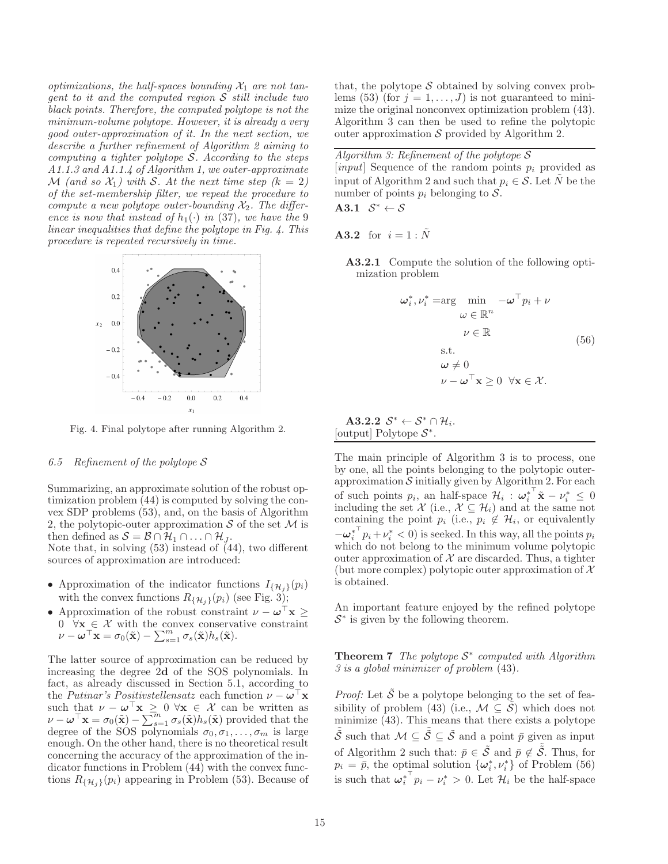optimizations, the half-spaces bounding  $\mathcal{X}_1$  are not tangent to it and the computed region S still include two black points. Therefore, the computed polytope is not the minimum-volume polytope. However, it is already a very good outer-approximation of it. In the next section, we describe a further refinement of Algorithm 2 aiming to computing a tighter polytope  $S$ . According to the steps A1.1.3 and A1.1.4 of Algorithm 1, we outer-approximate  $\mathcal{M}$  (and so  $\mathcal{X}_1$ ) with S. At the next time step (k = 2) of the set-membership filter, we repeat the procedure to compute a new polytope outer-bounding  $\mathcal{X}_2$ . The difference is now that instead of  $h_1(\cdot)$  in (37), we have the 9 linear inequalities that define the polytope in Fig. 4. This procedure is repeated recursively in time.



Fig. 4. Final polytope after running Algorithm 2.

#### 6.5 Refinement of the polytope  $S$

Summarizing, an approximate solution of the robust optimization problem (44) is computed by solving the convex SDP problems (53), and, on the basis of Algorithm 2, the polytopic-outer approximation  $\mathcal S$  of the set  $\mathcal M$  is then defined as  $S = \mathcal{B} \cap \mathcal{H}_1 \cap \ldots \cap \mathcal{H}_J$ . Note that, in solving  $(53)$  instead of  $(44)$ , two different sources of approximation are introduced:

- Approximation of the indicator functions  $I_{\{\mathcal{H}_i\}}(p_i)$ with the convex functions  $R_{\{\mathcal{H}_j\}}(p_i)$  (see Fig. 3);
- Approximation of the robust constraint  $\nu \boldsymbol{\omega}^\top \mathbf{x} \geq$  $0 \quad \forall x \in \mathcal{X}$  with the convex conservative constraint  $\nu-\boldsymbol{\omega}^\top \mathbf{x} = \sigma_0(\tilde{\mathbf{x}}) - \sum_{s=1}^m \sigma_s(\tilde{\mathbf{x}}) h_s(\tilde{\mathbf{x}}).$

The latter source of approximation can be reduced by increasing the degree 2d of the SOS polynomials. In fact, as already discussed in Section 5.1, according to the *Putinar's Positivstellensatz* each function  $\nu - \tilde{\boldsymbol{\omega}}^{\top} \mathbf{x}$ such that  $\nu - \omega^{\top} \mathbf{x} \geq 0 \ \forall \mathbf{x} \in \mathcal{X}$  can be written as  $\nu - \boldsymbol{\omega}^{\top} \mathbf{x} = \sigma_0(\tilde{\mathbf{x}}) - \sum_{s=1}^{m} \sigma_s(\tilde{\mathbf{x}}) h_s(\tilde{\mathbf{x}})$  provided that the degree of the SOS polynomials  $\sigma_0, \sigma_1, \ldots, \sigma_m$  is large enough. On the other hand, there is no theoretical result concerning the accuracy of the approximation of the indicator functions in Problem (44) with the convex functions  $R_{\{\mathcal{H}_i\}}(p_i)$  appearing in Problem (53). Because of

 $\overline{Algorithm}$  3: Refinement of the polytope S

[input] Sequence of the random points  $p_i$  provided as input of Algorithm 2 and such that  $p_i \in \mathcal{S}$ . Let  $\tilde{N}$  be the number of points  $p_i$  belonging to S.

A3.1  $S^* \leftarrow S$ 

**A3.2** for  $i = 1 : \tilde{N}$ 

A3.2.1 Compute the solution of the following optimization problem

ω ∗ i , ν<sup>∗</sup> <sup>i</sup> =arg min ω ∈ R n ν ∈ R −ω <sup>⊤</sup>p<sup>i</sup> + ν s.t. ω 6= 0 ν − ω <sup>⊤</sup>x ≥ 0 ∀x ∈ X. (56)

A3.2.2  $S^* \leftarrow S^* \cap \mathcal{H}_i$ . [output] Polytope  $S^*$ .

The main principle of Algorithm 3 is to process, one by one, all the points belonging to the polytopic outerapproximation  $S$  initially given by Algorithm 2. For each of such points  $p_i$ , an half-space  $\mathcal{H}_i$ :  $\boldsymbol{\omega}_i^* \mathbf{\tilde{x}} - \nu_i^* \leq 0$ including the set  $\mathcal{X}$  (i.e.,  $\mathcal{X} \subseteq \mathcal{H}_i$ ) and at the same not containing the point  $p_i$  (i.e.,  $p_i \notin \mathcal{H}_i$ , or equivalently  $-{\omega_i^*}^\top$  $i^*$   $p_i + \nu_i^* < 0$ ) is seeked. In this way, all the points  $p_i$ which do not belong to the minimum volume polytopic outer approximation of  $X$  are discarded. Thus, a tighter (but more complex) polytopic outer approximation of  $X$ is obtained.

An important feature enjoyed by the refined polytope  $S^*$  is given by the following theorem.

**Theorem 7** The polytope  $S^*$  computed with Algorithm 3 is a global minimizer of problem (43).

*Proof:* Let  $\tilde{S}$  be a polytope belonging to the set of feasibility of problem (43) (i.e.,  $\mathcal{M} \subseteq \tilde{\mathcal{S}}$ ) which does not minimize (43). This means that there exists a polytope  $\tilde{\tilde{S}}$  such that  $\mathcal{M} \subseteq \tilde{\tilde{S}} \subseteq \tilde{S}$  and a point  $\bar{p}$  given as input of Algorithm 2 such that:  $\bar{p} \in \tilde{S}$  and  $\bar{p} \notin \tilde{\tilde{S}}$ . Thus, for  $p_i = \overline{p}$ , the optimal solution  $\{\boldsymbol{\omega}_i^*, \nu_i^*\}$  of Problem (56) is such that  $\omega_i^{*^{\top}}$  $i^{\ast}$   $p_i - \nu_i^* > 0$ . Let  $\mathcal{H}_i$  be the half-space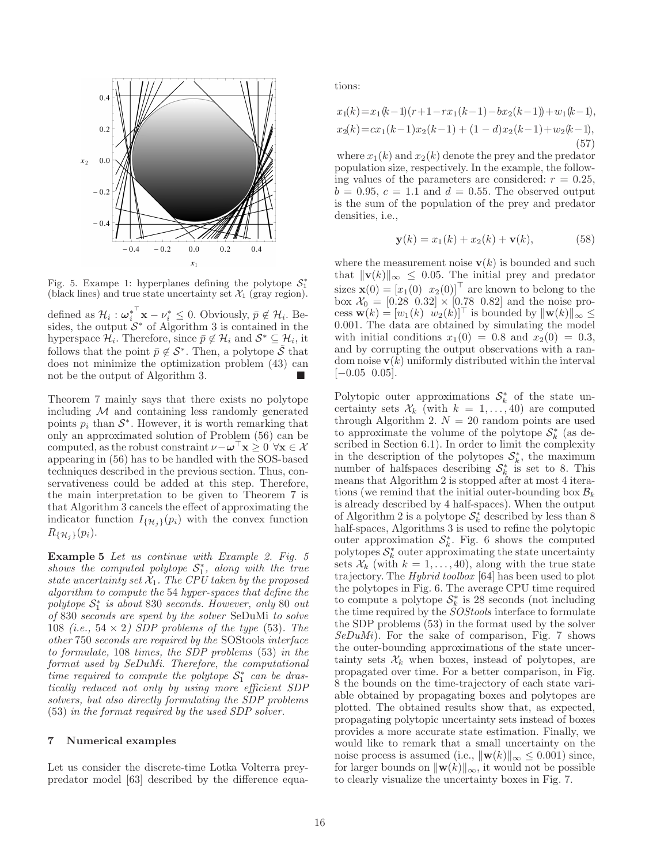

Fig. 5. Exampe 1: hyperplanes defining the polytope  $S_1^*$ (black lines) and true state uncertainty set  $\mathcal{X}_1$  (gray region).

defined as  $\mathcal{H}_i$ :  $\boldsymbol{\omega}_i^*^\top \mathbf{x} - \nu_i^* \leq 0$ . Obviously,  $\bar{p} \notin \mathcal{H}_i$ . Besides, the output  $S^*$  of Algorithm 3 is contained in the hyperspace  $\mathcal{H}_i$ . Therefore, since  $\bar{p} \notin \mathcal{H}_i$  and  $\mathcal{S}^* \subseteq \mathcal{H}_i$ , it follows that the point  $\bar{p} \notin \mathcal{S}^*$ . Then, a polytope  $\tilde{\mathcal{S}}$  that does not minimize the optimization problem (43) can not be the output of Algorithm 3. ■

Theorem 7 mainly says that there exists no polytope including  $\mathcal M$  and containing less randomly generated points  $p_i$  than  $S^*$ . However, it is worth remarking that only an approximated solution of Problem (56) can be computed, as the robust constraint  $\nu - \boldsymbol{\omega}^\top \mathbf{x} \geq 0 \forall \mathbf{x} \in \mathcal{X}$ appearing in (56) has to be handled with the SOS-based techniques described in the previous section. Thus, conservativeness could be added at this step. Therefore, the main interpretation to be given to Theorem 7 is that Algorithm 3 cancels the effect of approximating the indicator function  $I_{\{H_i\}}(p_i)$  with the convex function  $R_{\{\mathcal{H}_i\}}(p_i).$ 

Example 5 Let us continue with Example 2. Fig. 5 shows the computed polytope  $S_1^*$ , along with the true state uncertainty set  $\mathcal{X}_1$ . The CPU taken by the proposed algorithm to compute the 54 hyper-spaces that define the  $polytope S<sub>1</sub><sup>*</sup>$  is about 830 seconds. However, only 80 out of 830 seconds are spent by the solver SeDuMi to solve 108 (i.e.,  $54 \times 2$ ) SDP problems of the type (53). The other 750 seconds are required by the SOStools interface to formulate, 108 times, the SDP problems (53) in the format used by SeDuMi. Therefore, the computational time required to compute the polytope  $S_1^*$  can be drastically reduced not only by using more efficient SDP solvers, but also directly formulating the SDP problems (53) in the format required by the used SDP solver.

#### 7 Numerical examples

Let us consider the discrete-time Lotka Volterra preypredator model [63] described by the difference equations:

$$
x_1(k) = x_1(k-1)(r+1-rx_1(k-1)-bx_2(k-1))+w_1(k-1),
$$
  
\n
$$
x_2(k) = cx_1(k-1)x_2(k-1) + (1-d)x_2(k-1)+w_2(k-1),
$$
  
\n(57)

where  $x_1(k)$  and  $x_2(k)$  denote the prey and the predator population size, respectively. In the example, the following values of the parameters are considered:  $r = 0.25$ ,  $b = 0.95, c = 1.1$  and  $d = 0.55$ . The observed output is the sum of the population of the prey and predator densities, i.e.,

$$
y(k) = x_1(k) + x_2(k) + v(k),
$$
 (58)

where the measurement noise  $\mathbf{v}(k)$  is bounded and such that  $\|\mathbf{v}(k)\|_{\infty} \leq 0.05$ . The initial prey and predator sizes  $\mathbf{x}(0) = [x_1(0) \ x_2(0)]^\top$  are known to belong to the box  $\mathcal{X}_0 = [0.28 \ 0.32] \times [0.78 \ 0.82]$  and the noise process  $\mathbf{w}(k) = [w_1(k) \ \ w_2(k)]^\top$  is bounded by  $\|\mathbf{w}(k)\|_{\infty} \leq$ 0.001. The data are obtained by simulating the model with initial conditions  $x_1(0) = 0.8$  and  $x_2(0) = 0.3$ , and by corrupting the output observations with a random noise  $\mathbf{v}(k)$  uniformly distributed within the interval  $[-0.05 \ 0.05]$ .

Polytopic outer approximations  $S_k^*$  of the state uncertainty sets  $\mathcal{X}_k$  (with  $k = 1, \ldots, 40$ ) are computed through Algorithm 2.  $N = 20$  random points are used to approximate the volume of the polytope  $\mathcal{S}_k^*$  (as described in Section 6.1). In order to limit the complexity in the description of the polytopes  $S_k^*$ , the maximum number of halfspaces describing  $S_k^*$  is set to 8. This means that Algorithm 2 is stopped after at most 4 iterations (we remind that the initial outer-bounding box  $B_k$ is already described by 4 half-spaces). When the output of Algorithm 2 is a polytope  $\mathcal{S}^*_k$  described by less than 8 half-spaces, Algorithms 3 is used to refine the polytopic outer approximation  $S_k^*$ . Fig. 6 shows the computed polytopes  $\mathcal{S}_k^*$  outer approximating the state uncertainty sets  $\mathcal{X}_k$  (with  $k = 1, \ldots, 40$ ), along with the true state trajectory. The Hybrid toolbox [64] has been used to plot the polytopes in Fig. 6. The average CPU time required to compute a polytope  $S_k^*$  is 28 seconds (not including the time required by the SOStools interface to formulate the SDP problems (53) in the format used by the solver  $SeDuMi$ . For the sake of comparison, Fig. 7 shows the outer-bounding approximations of the state uncertainty sets  $\mathcal{X}_k$  when boxes, instead of polytopes, are propagated over time. For a better comparison, in Fig. 8 the bounds on the time-trajectory of each state variable obtained by propagating boxes and polytopes are plotted. The obtained results show that, as expected, propagating polytopic uncertainty sets instead of boxes provides a more accurate state estimation. Finally, we would like to remark that a small uncertainty on the noise process is assumed (i.e.,  $\|\mathbf{w}(k)\|_{\infty} \leq 0.001$ ) since, for larger bounds on  $\|\mathbf{w}(k)\|_{\infty}$ , it would not be possible to clearly visualize the uncertainty boxes in Fig. 7.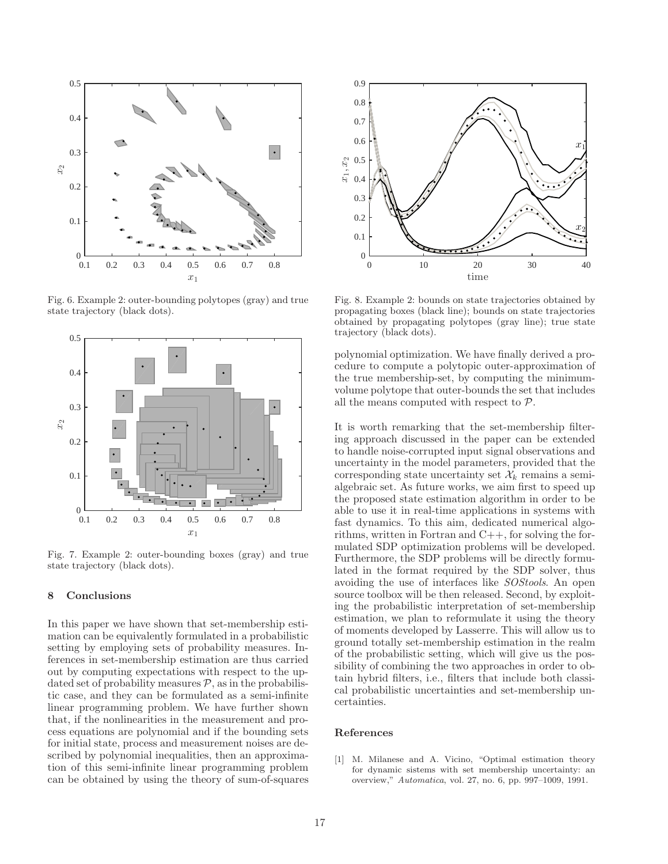

Fig. 6. Example 2: outer-bounding polytopes (gray) and true state trajectory (black dots).



Fig. 7. Example 2: outer-bounding boxes (gray) and true state trajectory (black dots).

## 8 Conclusions

In this paper we have shown that set-membership estimation can be equivalently formulated in a probabilistic setting by employing sets of probability measures. Inferences in set-membership estimation are thus carried out by computing expectations with respect to the updated set of probability measures  $P$ , as in the probabilistic case, and they can be formulated as a semi-infinite linear programming problem. We have further shown that, if the nonlinearities in the measurement and process equations are polynomial and if the bounding sets for initial state, process and measurement noises are described by polynomial inequalities, then an approximation of this semi-infinite linear programming problem can be obtained by using the theory of sum-of-squares



Fig. 8. Example 2: bounds on state trajectories obtained by propagating boxes (black line); bounds on state trajectories obtained by propagating polytopes (gray line); true state trajectory (black dots).

polynomial optimization. We have finally derived a procedure to compute a polytopic outer-approximation of the true membership-set, by computing the minimumvolume polytope that outer-bounds the set that includes all the means computed with respect to  $P$ .

It is worth remarking that the set-membership filtering approach discussed in the paper can be extended to handle noise-corrupted input signal observations and uncertainty in the model parameters, provided that the corresponding state uncertainty set  $\mathcal{X}_k$  remains a semialgebraic set. As future works, we aim first to speed up the proposed state estimation algorithm in order to be able to use it in real-time applications in systems with fast dynamics. To this aim, dedicated numerical algorithms, written in Fortran and C++, for solving the formulated SDP optimization problems will be developed. Furthermore, the SDP problems will be directly formulated in the format required by the SDP solver, thus avoiding the use of interfaces like SOStools. An open source toolbox will be then released. Second, by exploiting the probabilistic interpretation of set-membership estimation, we plan to reformulate it using the theory of moments developed by Lasserre. This will allow us to ground totally set-membership estimation in the realm of the probabilistic setting, which will give us the possibility of combining the two approaches in order to obtain hybrid filters, i.e., filters that include both classical probabilistic uncertainties and set-membership uncertainties.

#### References

[1] M. Milanese and A. Vicino, "Optimal estimation theory for dynamic sistems with set membership uncertainty: an overview," *Automatica*, vol. 27, no. 6, pp. 997–1009, 1991.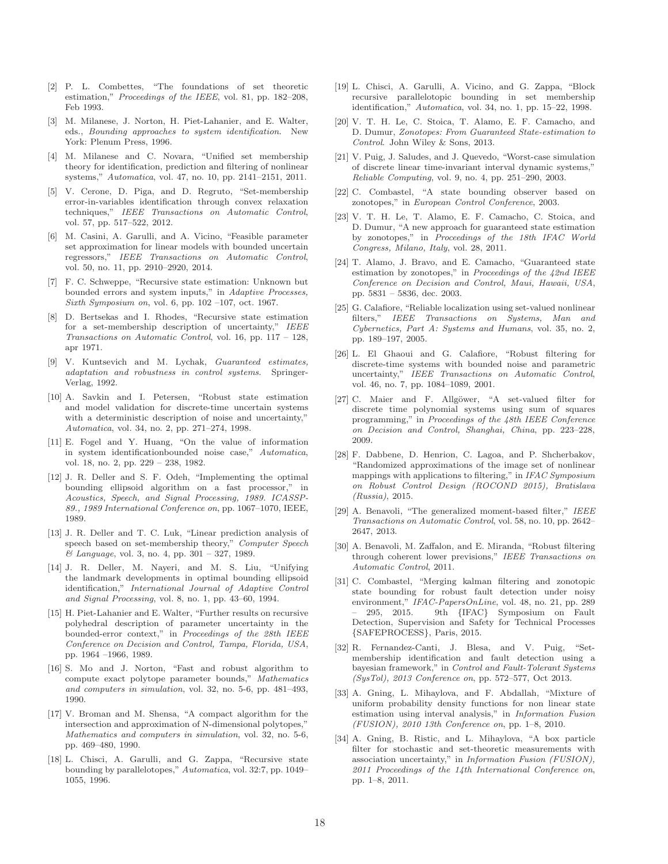- [2] P. L. Combettes, "The foundations of set theoretic estimation," *Proceedings of the IEEE*, vol. 81, pp. 182–208, Feb 1993.
- [3] M. Milanese, J. Norton, H. Piet-Lahanier, and E. Walter, eds., *Bounding approaches to system identification*. New York: Plenum Press, 1996.
- [4] M. Milanese and C. Novara, "Unified set membership theory for identification, prediction and filtering of nonlinear systems," *Automatica*, vol. 47, no. 10, pp. 2141–2151, 2011.
- [5] V. Cerone, D. Piga, and D. Regruto, "Set-membership error-in-variables identification through convex relaxation techniques," *IEEE Transactions on Automatic Control*, vol. 57, pp. 517–522, 2012.
- [6] M. Casini, A. Garulli, and A. Vicino, "Feasible parameter set approximation for linear models with bounded uncertain regressors," *IEEE Transactions on Automatic Control*, vol. 50, no. 11, pp. 2910–2920, 2014.
- [7] F. C. Schweppe, "Recursive state estimation: Unknown but bounded errors and system inputs," in *Adaptive Processes, Sixth Symposium on*, vol. 6, pp. 102 –107, oct. 1967.
- [8] D. Bertsekas and I. Rhodes, "Recursive state estimation for a set-membership description of uncertainty," *IEEE Transactions on Automatic Control*, vol. 16, pp. 117 – 128, apr 1971.
- [9] V. Kuntsevich and M. Lychak, *Guaranteed estimates, adaptation and robustness in control systems*. Springer-Verlag, 1992.
- [10] A. Savkin and I. Petersen, "Robust state estimation and model validation for discrete-time uncertain systems with a deterministic description of noise and uncertainty," *Automatica*, vol. 34, no. 2, pp. 271–274, 1998.
- [11] E. Fogel and Y. Huang, "On the value of information in system identificationbounded noise case," *Automatica*, vol. 18, no. 2, pp. 229 – 238, 1982.
- [12] J. R. Deller and S. F. Odeh, "Implementing the optimal bounding ellipsoid algorithm on a fast processor," in *Acoustics, Speech, and Signal Processing, 1989. ICASSP-89., 1989 International Conference on*, pp. 1067–1070, IEEE, 1989.
- [13] J. R. Deller and T. C. Luk, "Linear prediction analysis of speech based on set-membership theory," *Computer Speech & Language*, vol. 3, no. 4, pp. 301 – 327, 1989.
- [14] J. R. Deller, M. Nayeri, and M. S. Liu, "Unifying the landmark developments in optimal bounding ellipsoid identification," *International Journal of Adaptive Control and Signal Processing*, vol. 8, no. 1, pp. 43–60, 1994.
- [15] H. Piet-Lahanier and E. Walter, "Further results on recursive polyhedral description of parameter uncertainty in the bounded-error context," in *Proceedings of the 28th IEEE Conference on Decision and Control, Tampa, Florida, USA*, pp. 1964 –1966, 1989.
- [16] S. Mo and J. Norton, "Fast and robust algorithm to compute exact polytope parameter bounds," *Mathematics and computers in simulation*, vol. 32, no. 5-6, pp. 481–493, 1990.
- [17] V. Broman and M. Shensa, "A compact algorithm for the intersection and approximation of N-dimensional polytopes," *Mathematics and computers in simulation*, vol. 32, no. 5-6, pp. 469–480, 1990.
- [18] L. Chisci, A. Garulli, and G. Zappa, "Recursive state bounding by parallelotopes," *Automatica*, vol. 32:7, pp. 1049– 1055, 1996.
- [19] L. Chisci, A. Garulli, A. Vicino, and G. Zappa, "Block recursive parallelotopic bounding in set membership identification," *Automatica*, vol. 34, no. 1, pp. 15–22, 1998.
- [20] V. T. H. Le, C. Stoica, T. Alamo, E. F. Camacho, and D. Dumur, *Zonotopes: From Guaranteed State-estimation to Control*. John Wiley & Sons, 2013.
- [21] V. Puig, J. Saludes, and J. Quevedo, "Worst-case simulation of discrete linear time-invariant interval dynamic systems," *Reliable Computing*, vol. 9, no. 4, pp. 251–290, 2003.
- [22] C. Combastel, "A state bounding observer based on zonotopes," in *European Control Conference*, 2003.
- [23] V. T. H. Le, T. Alamo, E. F. Camacho, C. Stoica, and D. Dumur, "A new approach for guaranteed state estimation by zonotopes," in *Proceedings of the 18th IFAC World Congress, Milano, Italy*, vol. 28, 2011.
- [24] T. Alamo, J. Bravo, and E. Camacho, "Guaranteed state estimation by zonotopes," in *Proceedings of the 42nd IEEE Conference on Decision and Control, Maui, Hawaii, USA*, pp. 5831 – 5836, dec. 2003.
- [25] G. Calafiore, "Reliable localization using set-valued nonlinear filters," *IEEE Transactions on Systems, Man and Cybernetics, Part A: Systems and Humans*, vol. 35, no. 2, pp. 189–197, 2005.
- [26] L. El Ghaoui and G. Calafiore, "Robust filtering for discrete-time systems with bounded noise and parametric uncertainty," *IEEE Transactions on Automatic Control*, vol. 46, no. 7, pp. 1084–1089, 2001.
- [27] C. Maier and F. Allgöwer, "A set-valued filter for discrete time polynomial systems using sum of squares programming," in *Proceedings of the 48th IEEE Conference on Decision and Control, Shanghai, China*, pp. 223–228, 2009.
- [28] F. Dabbene, D. Henrion, C. Lagoa, and P. Shcherbakov, "Randomized approximations of the image set of nonlinear mappings with applications to filtering," in *IFAC Symposium on Robust Control Design (ROCOND 2015), Bratislava (Russia)*, 2015.
- [29] A. Benavoli, "The generalized moment-based filter," *IEEE Transactions on Automatic Control*, vol. 58, no. 10, pp. 2642– 2647, 2013.
- [30] A. Benavoli, M. Zaffalon, and E. Miranda, "Robust filtering through coherent lower previsions," *IEEE Transactions on Automatic Control*, 2011.
- [31] C. Combastel, "Merging kalman filtering and zonotopic state bounding for robust fault detection under noisy environment," *IFAC-PapersOnLine*, vol. 48, no. 21, pp. 289 – 295, 2015. 9th {IFAC} Symposium on Fault Detection, Supervision and Safety for Technical Processes {SAFEPROCESS}, Paris, 2015.
- [32] R. Fernandez-Canti, J. Blesa, and V. Puig, "Setmembership identification and fault detection using a bayesian framework," in *Control and Fault-Tolerant Systems (SysTol), 2013 Conference on*, pp. 572–577, Oct 2013.
- [33] A. Gning, L. Mihaylova, and F. Abdallah, "Mixture of uniform probability density functions for non linear state estimation using interval analysis," in *Information Fusion (FUSION), 2010 13th Conference on*, pp. 1–8, 2010.
- [34] A. Gning, B. Ristic, and L. Mihaylova, "A box particle filter for stochastic and set-theoretic measurements with association uncertainty," in *Information Fusion (FUSION), 2011 Proceedings of the 14th International Conference on*, pp. 1–8, 2011.